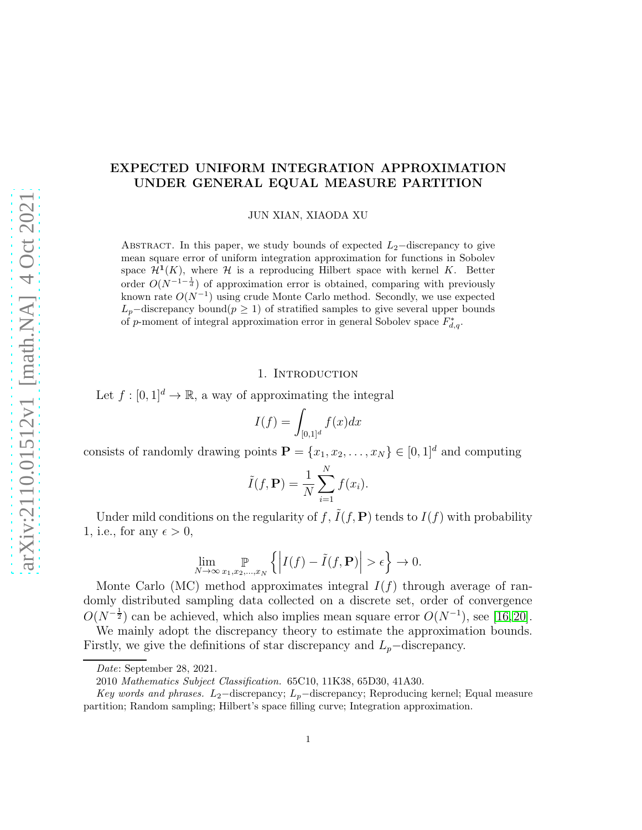## EXPECTED UNIFORM INTEGRATION APPROXIMATION UNDER GENERAL EQUAL MEASURE PARTITION

JUN XIAN, XIAODA XU

ABSTRACT. In this paper, we study bounds of expected  $L_2$ −discrepancy to give mean square error of uniform integration approximation for functions in Sobolev space  $\mathcal{H}^1(K)$ , where H is a reproducing Hilbert space with kernel K. Better order  $O(N^{-1-\frac{1}{d}})$  of approximation error is obtained, comparing with previously known rate  $O(N^{-1})$  using crude Monte Carlo method. Secondly, we use expected  $L_p$ –discrepancy bound $(p \geq 1)$  of stratified samples to give several upper bounds of p-moment of integral approximation error in general Sobolev space  $F_{d,q}^*$ .

#### 1. INTRODUCTION

Let  $f : [0, 1]^d \to \mathbb{R}$ , a way of approximating the integral

$$
I(f) = \int_{[0,1]^d} f(x)dx
$$

consists of randomly drawing points  $\mathbf{P} = \{x_1, x_2, \dots, x_N\} \in [0, 1]^d$  and computing

$$
\tilde{I}(f, \mathbf{P}) = \frac{1}{N} \sum_{i=1}^{N} f(x_i).
$$

Under mild conditions on the regularity of f,  $\tilde{I}(f, \mathbf{P})$  tends to  $I(f)$  with probability 1, i.e., for any  $\epsilon > 0$ ,

$$
\lim_{N \to \infty} \sup_{x_1, x_2, \dots, x_N} \left\{ \left| I(f) - \tilde{I}(f, \mathbf{P}) \right| > \epsilon \right\} \to 0.
$$

Monte Carlo (MC) method approximates integral  $I(f)$  through average of randomly distributed sampling data collected on a discrete set, order of convergence  $O(N^{-\frac{1}{2}})$  can be achieved, which also implies mean square error  $O(N^{-1})$ , see [\[16,](#page-23-0)[20\]](#page-23-1).

We mainly adopt the discrepancy theory to estimate the approximation bounds. Firstly, we give the definitions of star discrepancy and  $L_p$ –discrepancy.

Date: September 28, 2021.

<sup>2010</sup> Mathematics Subject Classification. 65C10, 11K38, 65D30, 41A30.

Key words and phrases. L<sub>2</sub>−discrepancy; L<sub>p</sub>−discrepancy; Reproducing kernel; Equal measure partition; Random sampling; Hilbert's space filling curve; Integration approximation.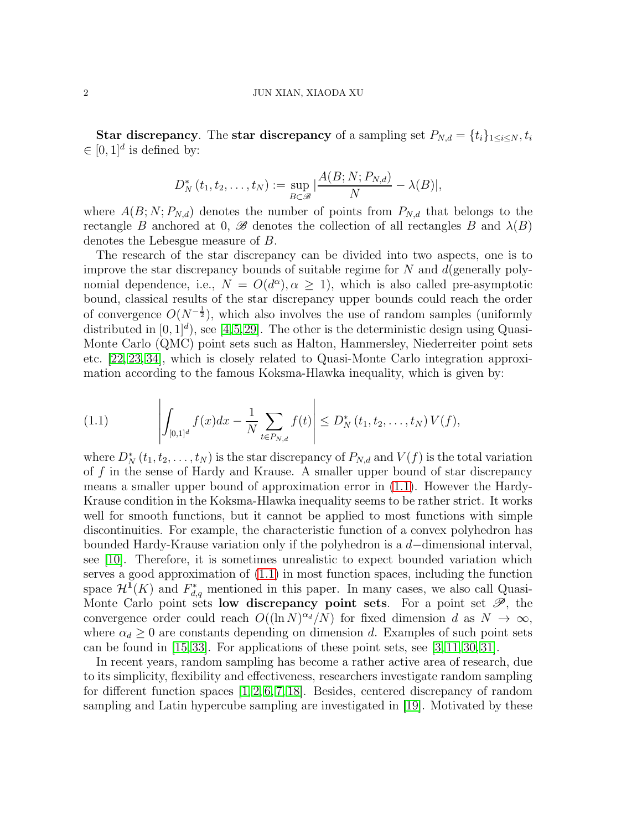**Star discrepancy**. The **star discrepancy** of a sampling set  $P_{N,d} = \{t_i\}_{1 \leq i \leq N}, t_i$  $\in [0,1]^d$  is defined by:

$$
D_N^*(t_1, t_2, \ldots, t_N) := \sup_{B \subset \mathscr{B}} \left| \frac{A(B; N; P_{N,d})}{N} - \lambda(B) \right|,
$$

where  $A(B; N; P_{N,d})$  denotes the number of points from  $P_{N,d}$  that belongs to the rectangle B anchored at 0,  $\mathscr{B}$  denotes the collection of all rectangles B and  $\lambda(B)$ denotes the Lebesgue measure of B.

The research of the star discrepancy can be divided into two aspects, one is to improve the star discrepancy bounds of suitable regime for  $N$  and  $d$  (generally polynomial dependence, i.e.,  $N = O(d^{\alpha})$ ,  $\alpha \geq 1$ ), which is also called pre-asymptotic bound, classical results of the star discrepancy upper bounds could reach the order of convergence  $O(N^{-\frac{1}{2}})$ , which also involves the use of random samples (uniformly distributed in  $[0, 1]^d$ , see  $[4, 5, 29]$  $[4, 5, 29]$  $[4, 5, 29]$  $[4, 5, 29]$ . The other is the deterministic design using Quasi-Monte Carlo (QMC) point sets such as Halton, Hammersley, Niederreiter point sets etc. [\[22,](#page-23-3) [23,](#page-23-4) [34\]](#page-24-0), which is closely related to Quasi-Monte Carlo integration approximation according to the famous Koksma-Hlawka inequality, which is given by:

<span id="page-1-0"></span>(1.1) 
$$
\left| \int_{[0,1]^d} f(x) dx - \frac{1}{N} \sum_{t \in P_{N,d}} f(t) \right| \le D_N^* (t_1, t_2, \dots, t_N) V(f),
$$

where  $D_N^*(t_1, t_2, \ldots, t_N)$  is the star discrepancy of  $P_{N,d}$  and  $V(f)$  is the total variation of f in the sense of Hardy and Krause. A smaller upper bound of star discrepancy means a smaller upper bound of approximation error in [\(1.1\)](#page-1-0). However the Hardy-Krause condition in the Koksma-Hlawka inequality seems to be rather strict. It works well for smooth functions, but it cannot be applied to most functions with simple discontinuities. For example, the characteristic function of a convex polyhedron has bounded Hardy-Krause variation only if the polyhedron is a d−dimensional interval, see [\[10\]](#page-22-2). Therefore, it is sometimes unrealistic to expect bounded variation which serves a good approximation of [\(1.1\)](#page-1-0) in most function spaces, including the function space  $\mathcal{H}^{\mathbf{I}}(K)$  and  $F_{d,q}^{*}$  mentioned in this paper. In many cases, we also call Quasi-Monte Carlo point sets low discrepancy point sets. For a point set  $\mathscr{P}$ , the convergence order could reach  $O((\ln N)^{\alpha_d}/N)$  for fixed dimension d as  $N \to \infty$ , where  $\alpha_d \geq 0$  are constants depending on dimension d. Examples of such point sets can be found in  $[15, 33]$  $[15, 33]$ . For applications of these point sets, see  $[3, 11, 30, 31]$  $[3, 11, 30, 31]$  $[3, 11, 30, 31]$  $[3, 11, 30, 31]$ .

In recent years, random sampling has become a rather active area of research, due to its simplicity, flexibility and effectiveness, researchers investigate random sampling for different function spaces [\[1,](#page-22-4) [2,](#page-22-5) [6,](#page-22-6) [7,](#page-22-7) [18\]](#page-23-10). Besides, centered discrepancy of random sampling and Latin hypercube sampling are investigated in [\[19\]](#page-23-11). Motivated by these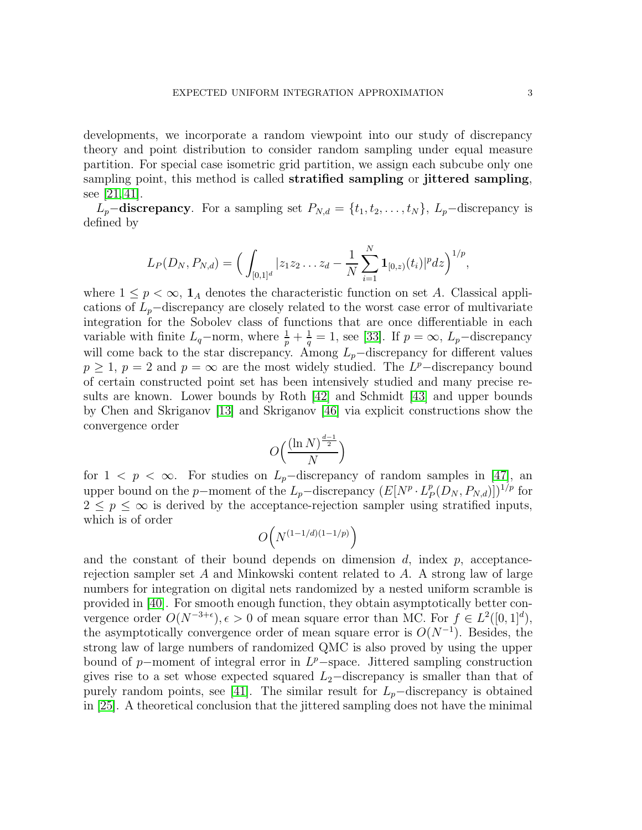developments, we incorporate a random viewpoint into our study of discrepancy theory and point distribution to consider random sampling under equal measure partition. For special case isometric grid partition, we assign each subcube only one sampling point, this method is called **stratified sampling** or **jittered sampling**, see [\[21,](#page-23-12) [41\]](#page-24-1).

 $L_p$ –discrepancy. For a sampling set  $P_{N,d} = \{t_1, t_2, \ldots, t_N\}$ ,  $L_p$ –discrepancy is defined by

$$
L_P(D_N, P_{N,d}) = \Big(\int_{[0,1]^d} |z_1z_2\ldots z_d - \frac{1}{N}\sum_{i=1}^N \mathbf{1}_{[0,z)}(t_i)|^p dz\Big)^{1/p},
$$

where  $1 \leq p < \infty$ ,  $\mathbf{1}_A$  denotes the characteristic function on set A. Classical applications of  $L_p$ –discrepancy are closely related to the worst case error of multivariate integration for the Sobolev class of functions that are once differentiable in each variable with finite  $L_q$ -norm, where  $\frac{1}{p} + \frac{1}{q} = 1$ , see [\[33\]](#page-23-6). If  $p = \infty$ ,  $L_p$ -discrepancy will come back to the star discrepancy. Among  $L_p$ −discrepancy for different values  $p \geq 1$ ,  $p = 2$  and  $p = \infty$  are the most widely studied. The L<sup>p</sup>-discrepancy bound of certain constructed point set has been intensively studied and many precise results are known. Lower bounds by Roth [\[42\]](#page-24-2) and Schmidt [\[43\]](#page-24-3) and upper bounds by Chen and Skriganov [\[13\]](#page-23-13) and Skriganov [\[46\]](#page-24-4) via explicit constructions show the convergence order

$$
O\Big(\frac{(\ln N)^{\frac{d-1}{2}}}{N}\Big)
$$

for  $1 \leq p \leq \infty$ . For studies on  $L_p$ -discrepancy of random samples in [\[47\]](#page-24-5), an upper bound on the p-moment of the  $L_p$ -discrepancy  $(E[N^p \cdot L^p_I])$  $_{P}^{p}(D_{N}, P_{N,d})]$ <sup> $1/p$ </sup> for  $2 \leq p \leq \infty$  is derived by the acceptance-rejection sampler using stratified inputs, which is of order

$$
O\Big(N^{(1-1/d)(1-1/p)}\Big)
$$

and the constant of their bound depends on dimension  $d$ , index  $p$ , acceptancerejection sampler set A and Minkowski content related to A. A strong law of large numbers for integration on digital nets randomized by a nested uniform scramble is provided in [\[40\]](#page-24-6). For smooth enough function, they obtain asymptotically better convergence order  $O(N^{-3+\epsilon}), \epsilon > 0$  of mean square error than MC. For  $f \in L^2([0,1]^d)$ , the asymptotically convergence order of mean square error is  $O(N^{-1})$ . Besides, the strong law of large numbers of randomized QMC is also proved by using the upper bound of p-moment of integral error in  $L^p$ -space. Jittered sampling construction gives rise to a set whose expected squared  $L_2$ −discrepancy is smaller than that of purely random points, see [\[41\]](#page-24-1). The similar result for  $L_p$ −discrepancy is obtained in [\[25\]](#page-23-14). A theoretical conclusion that the jittered sampling does not have the minimal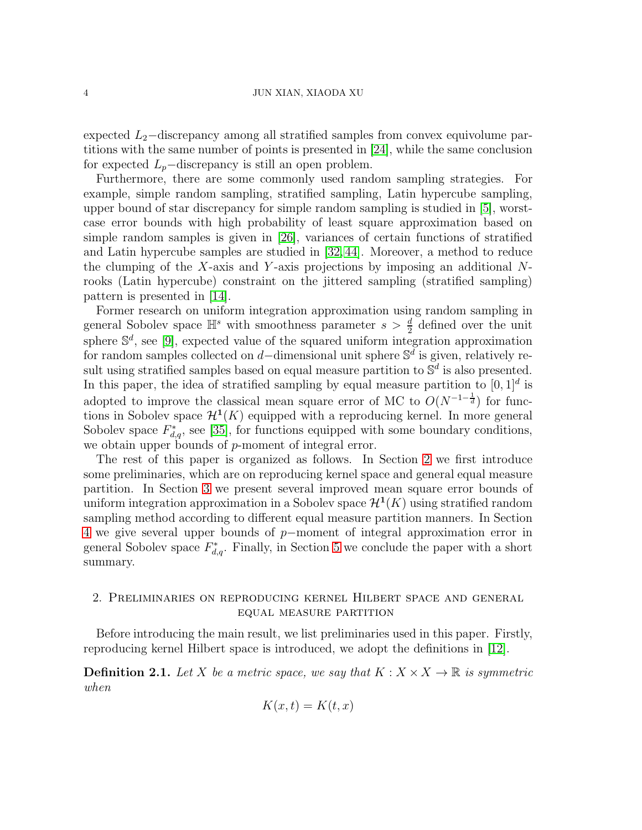#### 4 JUN XIAN, XIAODA XU

expected  $L_2$ –discrepancy among all stratified samples from convex equivolume partitions with the same number of points is presented in [\[24\]](#page-23-15), while the same conclusion for expected  $L_p$ −discrepancy is still an open problem.

Furthermore, there are some commonly used random sampling strategies. For example, simple random sampling, stratified sampling, Latin hypercube sampling, upper bound of star discrepancy for simple random sampling is studied in [\[5\]](#page-22-1), worstcase error bounds with high probability of least square approximation based on simple random samples is given in [\[26\]](#page-23-16), variances of certain functions of stratified and Latin hypercube samples are studied in [\[32,](#page-23-17) [44\]](#page-24-7). Moreover, a method to reduce the clumping of the X-axis and Y-axis projections by imposing an additional  $N$ rooks (Latin hypercube) constraint on the jittered sampling (stratified sampling) pattern is presented in [\[14\]](#page-23-18).

Former research on uniform integration approximation using random sampling in general Sobolev space  $\mathbb{H}^s$  with smoothness parameter  $s > \frac{d}{2}$  defined over the unit sphere  $\mathbb{S}^d$ , see [\[9\]](#page-22-8), expected value of the squared uniform integration approximation for random samples collected on d–dimensional unit sphere  $\mathbb{S}^d$  is given, relatively result using stratified samples based on equal measure partition to  $\mathbb{S}^d$  is also presented. In this paper, the idea of stratified sampling by equal measure partition to  $[0, 1]^d$  is adopted to improve the classical mean square error of MC to  $O(N^{-1-\frac{1}{d}})$  for functions in Sobolev space  $\mathcal{H}^{1}(K)$  equipped with a reproducing kernel. In more general Sobolev space  $F_{d,q}^*$ , see [\[35\]](#page-24-8), for functions equipped with some boundary conditions, we obtain upper bounds of p-moment of integral error.

The rest of this paper is organized as follows. In Section [2](#page-3-0) we first introduce some preliminaries, which are on reproducing kernel space and general equal measure partition. In Section [3](#page-8-0) we present several improved mean square error bounds of uniform integration approximation in a Sobolev space  $\mathcal{H}^1(K)$  using stratified random sampling method according to different equal measure partition manners. In Section [4](#page-15-0) we give several upper bounds of p−moment of integral approximation error in general Sobolev space  $F_{d,q}^*$ . Finally, in Section [5](#page-22-9) we conclude the paper with a short summary.

## <span id="page-3-0"></span>2. Preliminaries on reproducing kernel Hilbert space and general equal measure partition

Before introducing the main result, we list preliminaries used in this paper. Firstly, reproducing kernel Hilbert space is introduced, we adopt the definitions in [\[12\]](#page-23-19).

**Definition 2.1.** Let X be a metric space, we say that  $K : X \times X \to \mathbb{R}$  is symmetric *when*

$$
K(x,t) = K(t,x)
$$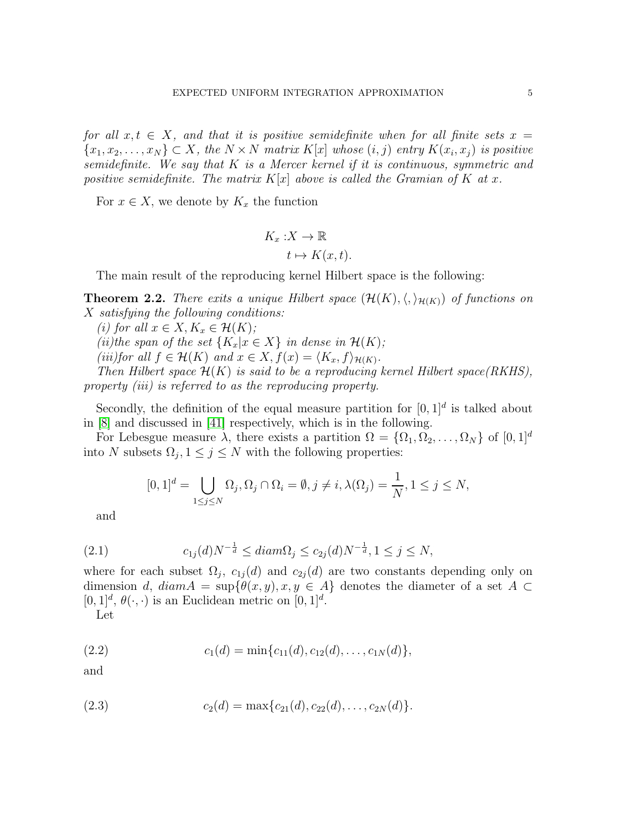*for all*  $x, t \in X$ *, and that it is positive semidefinite when for all finite sets*  $x =$  ${x_1, x_2, \ldots, x_N} \subset X$ , the  $N \times N$  matrix  $K[x]$  whose  $(i, j)$  entry  $K(x_i, x_j)$  is positive *semidefinite. We say that* K *is a Mercer kernel if it is continuous, symmetric and positive semidefinite. The matrix*  $K[x]$  *above is called the Gramian of* K *at* x.

For  $x \in X$ , we denote by  $K_x$  the function

$$
K_x: X \to \mathbb{R}
$$

$$
t \mapsto K(x, t).
$$

The main result of the reproducing kernel Hilbert space is the following:

**Theorem 2.2.** *There exits a unique Hilbert space*  $(\mathcal{H}(K), \langle, \rangle_{\mathcal{H}(K)})$  *of functions on* X *satisfying the following conditions:*

*(i)* for all  $x \in X, K_x \in \mathcal{H}(K)$ *;* 

*(ii)the span of the set*  $\{K_x | x \in X\}$  *in dense in*  $\mathcal{H}(K)$ *;* 

*(iii)for all*  $f \in \mathcal{H}(K)$  *and*  $x \in X$ ,  $f(x) = \langle K_x, f \rangle_{\mathcal{H}(K)}$ *.* 

*Then Hilbert space* H(K) *is said to be a reproducing kernel Hilbert space(RKHS), property (iii) is referred to as the reproducing property.*

Secondly, the definition of the equal measure partition for  $[0,1]^d$  is talked about in [\[8\]](#page-22-10) and discussed in [\[41\]](#page-24-1) respectively, which is in the following.

For Lebesgue measure  $\lambda$ , there exists a partition  $\Omega = {\Omega_1, \Omega_2, \ldots, \Omega_N}$  of  $[0, 1]^d$ into N subsets  $\Omega_j$ ,  $1 \leq j \leq N$  with the following properties:

<span id="page-4-2"></span>
$$
[0,1]^d = \bigcup_{1 \le j \le N} \Omega_j, \Omega_j \cap \Omega_i = \emptyset, j \ne i, \lambda(\Omega_j) = \frac{1}{N}, 1 \le j \le N,
$$

and

(2.1) 
$$
c_{1j}(d)N^{-\frac{1}{d}} \leq diam\Omega_j \leq c_{2j}(d)N^{-\frac{1}{d}}, 1 \leq j \leq N,
$$

where for each subset  $\Omega_j$ ,  $c_{1j}(d)$  and  $c_{2j}(d)$  are two constants depending only on dimension d,  $diam A = sup{\theta(x, y), x, y \in A}$  denotes the diameter of a set  $A \subset$  $[0,1]^d$ ,  $\theta(\cdot,\cdot)$  is an Euclidean metric on  $[0,1]^d$ .

<span id="page-4-0"></span>Let

(2.2) 
$$
c_1(d) = \min\{c_{11}(d), c_{12}(d), \ldots, c_{1N}(d)\},
$$

and

<span id="page-4-1"></span>(2.3) 
$$
c_2(d) = \max\{c_{21}(d), c_{22}(d), \ldots, c_{2N}(d)\}.
$$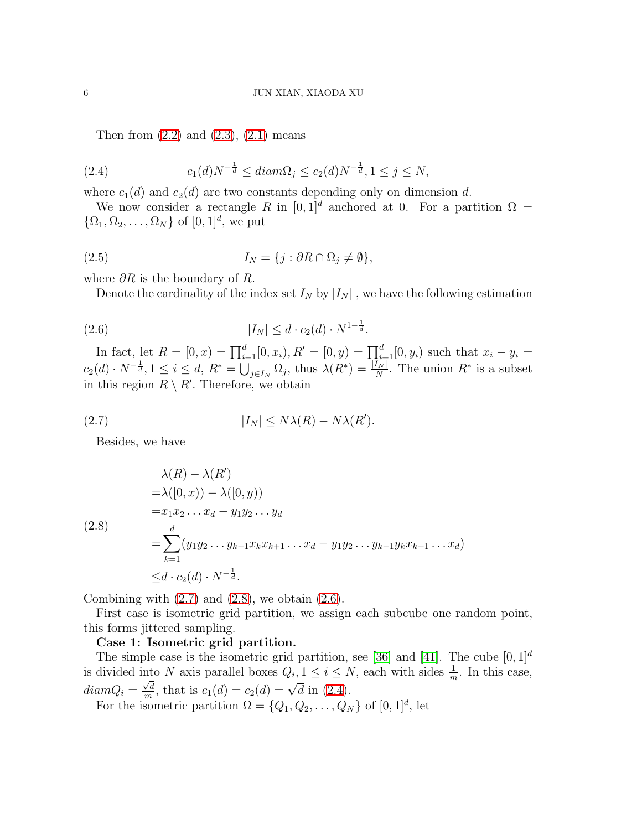<span id="page-5-3"></span>Then from  $(2.2)$  and  $(2.3)$ ,  $(2.1)$  means

(2.4) 
$$
c_1(d)N^{-\frac{1}{d}} \leq diam\Omega_j \leq c_2(d)N^{-\frac{1}{d}}, 1 \leq j \leq N,
$$

where  $c_1(d)$  and  $c_2(d)$  are two constants depending only on dimension d.

We now consider a rectangle R in  $[0, 1]^d$  anchored at 0. For a partition  $\Omega =$  $\{\Omega_1, \Omega_2, \ldots, \Omega_N\}$  of  $[0, 1]^d$ , we put

(2.5) 
$$
I_N = \{j : \partial R \cap \Omega_j \neq \emptyset\},\
$$

where  $\partial R$  is the boundary of R.

<span id="page-5-2"></span>Denote the cardinality of the index set  $I_N$  by  $|I_N|$ , we have the following estimation

(2.6) 
$$
|I_N| \le d \cdot c_2(d) \cdot N^{1-\frac{1}{d}}.
$$

In fact, let  $R = [0, x) = \prod_{i=1}^{d} [0, x_i), R' = [0, y) = \prod_{i=1}^{d} [0, y_i)$  such that  $x_i - y_i =$  $c_2(d) \cdot N^{-\frac{1}{d}}, 1 \leq i \leq d, R^* = \bigcup_{j \in I_N} \Omega_j$ , thus  $\lambda(R^*) = \frac{|I_N|}{N}$ . The union  $R^*$  is a subset in this region  $R \setminus R'$ . Therefore, we obtain

(2.7) 
$$
|I_N| \leq N\lambda(R) - N\lambda(R').
$$

<span id="page-5-0"></span>Besides, we have

<span id="page-5-1"></span>
$$
\lambda(R) - \lambda(R')
$$
  
=  $\lambda([0, x)) - \lambda([0, y))$   
=  $x_1 x_2 ... x_d - y_1 y_2 ... y_d$   
(2.8)  

$$
= \sum_{k=1}^d (y_1 y_2 ... y_{k-1} x_k x_{k+1} ... x_d - y_1 y_2 ... y_{k-1} y_k x_{k+1} ... x_d)
$$
  

$$
\leq d \cdot c_2(d) \cdot N^{-\frac{1}{d}}.
$$

Combining with  $(2.7)$  and  $(2.8)$ , we obtain  $(2.6)$ .

First case is isometric grid partition, we assign each subcube one random point, this forms jittered sampling.

### Case 1: Isometric grid partition.

The simple case is the isometric grid partition, see [\[36\]](#page-24-9) and [\[41\]](#page-24-1). The cube  $[0, 1]^d$ is divided into N axis parallel boxes  $Q_i, 1 \leq i \leq N$ , each with sides  $\frac{1}{m}$ . In this case,  $diamQ_i = \frac{\sqrt{d}}{m}$  $\frac{\sqrt{d}}{m}$ , that is  $c_1(d) = c_2(d) = \sqrt{d} \text{ in (2.4)}.$  $c_1(d) = c_2(d) = \sqrt{d} \text{ in (2.4)}.$  $c_1(d) = c_2(d) = \sqrt{d} \text{ in (2.4)}.$ 

For the isometric partition  $\Omega = \{Q_1, Q_2, \dots, Q_N\}$  of  $[0, 1]^d$ , let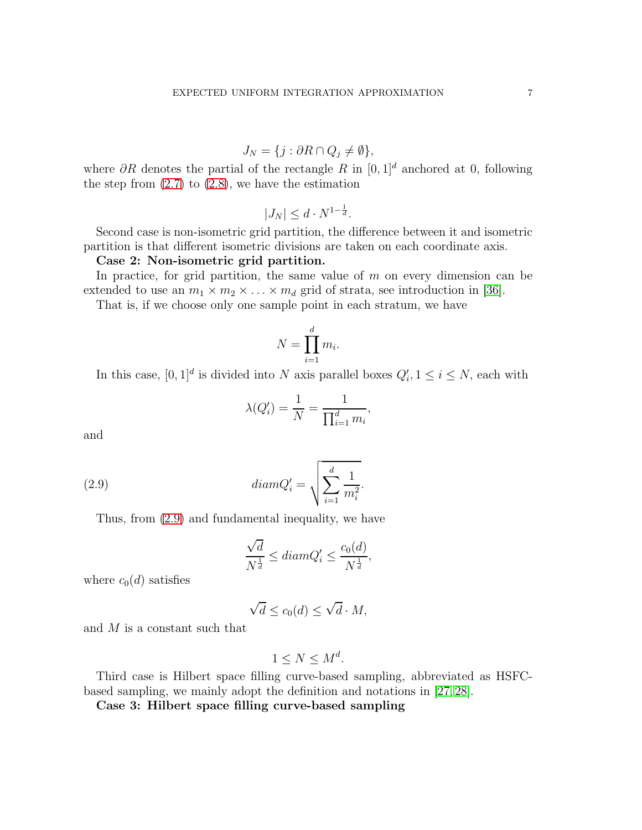$$
J_N = \{ j : \partial R \cap Q_j \neq \emptyset \},\
$$

where  $\partial R$  denotes the partial of the rectangle R in  $[0, 1]^d$  anchored at 0, following the step from  $(2.7)$  to  $(2.8)$ , we have the estimation

$$
|J_N| \le d \cdot N^{1 - \frac{1}{d}}.
$$

Second case is non-isometric grid partition, the difference between it and isometric partition is that different isometric divisions are taken on each coordinate axis.

#### Case 2: Non-isometric grid partition.

In practice, for grid partition, the same value of  $m$  on every dimension can be extended to use an  $m_1 \times m_2 \times \ldots \times m_d$  grid of strata, see introduction in [\[36\]](#page-24-9).

That is, if we choose only one sample point in each stratum, we have

$$
N = \prod_{i=1}^{d} m_i.
$$

In this case,  $[0,1]^d$  is divided into N axis parallel boxes  $Q'_i, 1 \leq i \leq N$ , each with

$$
\lambda(Q'_i) = \frac{1}{N} = \frac{1}{\prod_{i=1}^d m_i},
$$

and

(2.9) 
$$
diam Q_i' = \sqrt{\sum_{i=1}^d \frac{1}{m_i^2}}.
$$

Thus, from [\(2.9\)](#page-6-0) and fundamental inequality, we have

<span id="page-6-0"></span>
$$
\frac{\sqrt{d}}{N^{\frac{1}{d}}} \leq diam Q_i' \leq \frac{c_0(d)}{N^{\frac{1}{d}}},
$$

where  $c_0(d)$  satisfies

$$
\sqrt{d} \le c_0(d) \le \sqrt{d} \cdot M,
$$

and M is a constant such that

$$
1 \leq N \leq M^d.
$$

Third case is Hilbert space filling curve-based sampling, abbreviated as HSFCbased sampling, we mainly adopt the definition and notations in [\[27,](#page-23-20) [28\]](#page-23-21).

Case 3: Hilbert space filling curve-based sampling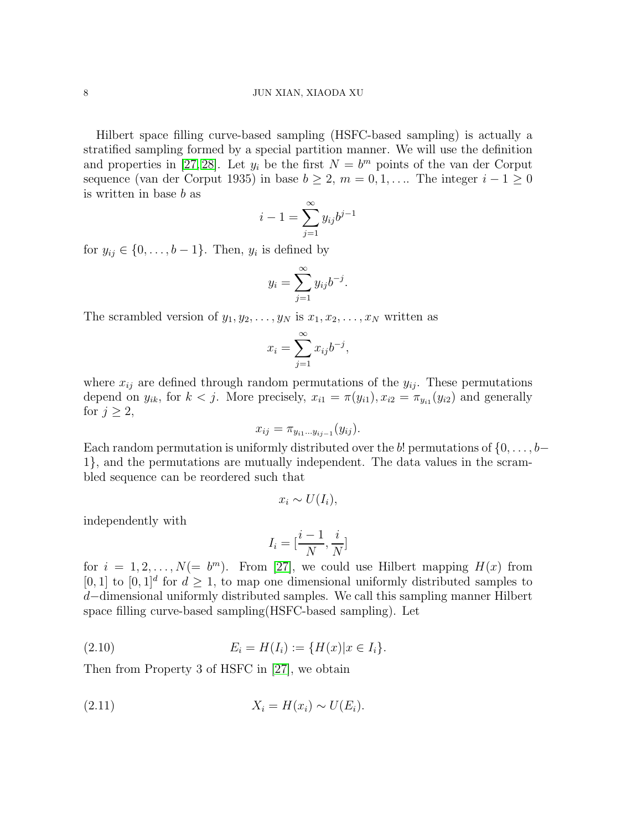Hilbert space filling curve-based sampling (HSFC-based sampling) is actually a stratified sampling formed by a special partition manner. We will use the definition and properties in [\[27,](#page-23-20) [28\]](#page-23-21). Let  $y_i$  be the first  $N = b^m$  points of the van der Corput sequence (van der Corput 1935) in base  $b \geq 2$ ,  $m = 0, 1, \ldots$  The integer  $i - 1 \geq 0$ is written in base b as

$$
i - 1 = \sum_{j=1}^{\infty} y_{ij} b^{j-1}
$$

for  $y_{ij} \in \{0, \ldots, b-1\}$ . Then,  $y_i$  is defined by

$$
y_i = \sum_{j=1}^{\infty} y_{ij} b^{-j}.
$$

The scrambled version of  $y_1, y_2, \ldots, y_N$  is  $x_1, x_2, \ldots, x_N$  written as

$$
x_i = \sum_{j=1}^{\infty} x_{ij} b^{-j},
$$

where  $x_{ij}$  are defined through random permutations of the  $y_{ij}$ . These permutations depend on  $y_{ik}$ , for  $k < j$ . More precisely,  $x_{i1} = \pi(y_{i1}), x_{i2} = \pi_{y_{i1}}(y_{i2})$  and generally for  $j \geq 2$ ,

$$
x_{ij} = \pi_{y_{i1}\dots y_{ij-1}}(y_{ij}).
$$

Each random permutation is uniformly distributed over the b! permutations of  $\{0, \ldots, b-$ 1}, and the permutations are mutually independent. The data values in the scrambled sequence can be reordered such that

$$
x_i \sim U(I_i),
$$

independently with

<span id="page-7-0"></span>
$$
I_i = \left[\frac{i-1}{N}, \frac{i}{N}\right]
$$

for  $i = 1, 2, ..., N(= b<sup>m</sup>)$ . From [\[27\]](#page-23-20), we could use Hilbert mapping  $H(x)$  from [0, 1] to  $[0, 1]^d$  for  $d \geq 1$ , to map one dimensional uniformly distributed samples to d−dimensional uniformly distributed samples. We call this sampling manner Hilbert space filling curve-based sampling(HSFC-based sampling). Let

(2.10) 
$$
E_i = H(I_i) := \{H(x) | x \in I_i\}.
$$

Then from Property 3 of HSFC in [\[27\]](#page-23-20), we obtain

<span id="page-7-1"></span>
$$
(2.11) \t\t X_i = H(x_i) \sim U(E_i).
$$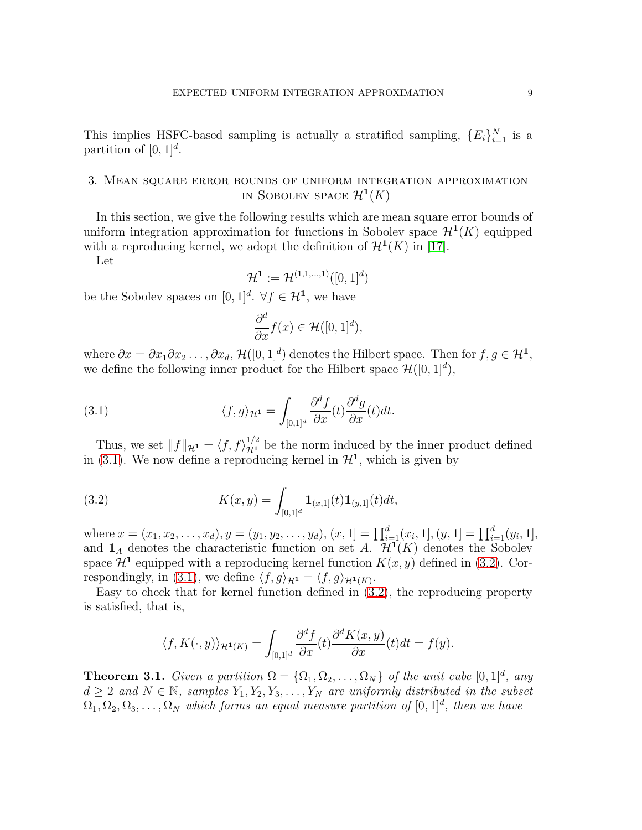This implies HSFC-based sampling is actually a stratified sampling,  ${E_i}_{i=1}^N$  is a partition of  $[0, 1]^d$ .

# <span id="page-8-0"></span>3. Mean square error bounds of uniform integration approximation IN SOBOLEV SPACE  $\mathcal{H}^1(K)$

In this section, we give the following results which are mean square error bounds of uniform integration approximation for functions in Sobolev space  $\mathcal{H}^1(K)$  equipped with a reproducing kernel, we adopt the definition of  $\mathcal{H}^1(K)$  in [\[17\]](#page-23-22).

Let

$$
\mathcal{H}^1:=\mathcal{H}^{(1,1,\ldots,1)}([0,1]^d)
$$

be the Sobolev spaces on  $[0,1]^d$ .  $\forall f \in \mathcal{H}^1$ , we have

<span id="page-8-1"></span>
$$
\frac{\partial^d}{\partial x} f(x) \in \mathcal{H}([0,1]^d),
$$

where  $\partial x = \partial x_1 \partial x_2 \dots, \partial x_d$ ,  $\mathcal{H}([0,1]^d)$  denotes the Hilbert space. Then for  $f, g \in \mathcal{H}^1$ , we define the following inner product for the Hilbert space  $\mathcal{H}([0,1]^d)$ ,

(3.1) 
$$
\langle f, g \rangle_{\mathcal{H}^1} = \int_{[0,1]^d} \frac{\partial^d f}{\partial x}(t) \frac{\partial^d g}{\partial x}(t) dt.
$$

Thus, we set  $||f||_{\mathcal{H}^1} = \langle f, f \rangle_{\mathcal{H}^1}^{1/2}$  be the norm induced by the inner product defined in [\(3.1\)](#page-8-1). We now define a reproducing kernel in  $\mathcal{H}^1$ , which is given by

<span id="page-8-2"></span>(3.2) 
$$
K(x,y) = \int_{[0,1]^d} \mathbf{1}_{(x,1]}(t) \mathbf{1}_{(y,1]}(t) dt,
$$

where  $x = (x_1, x_2, \ldots, x_d), y = (y_1, y_2, \ldots, y_d), (x, 1] = \prod_{i=1}^d (x_i, 1], (y, 1] = \prod_{i=1}^d (y_i, 1],$ and  $\mathbf{1}_A$  denotes the characteristic function on set  $A \cdot \mathcal{H}^1(K)$  denotes the Sobolev space  $\mathcal{H}^1$  equipped with a reproducing kernel function  $K(x, y)$  defined in [\(3.2\)](#page-8-2). Cor-respondingly, in [\(3.1\)](#page-8-1), we define  $\langle f, g \rangle_{\mathcal{H}^1} = \langle f, g \rangle_{\mathcal{H}^1(K)}$ .

Easy to check that for kernel function defined in [\(3.2\)](#page-8-2), the reproducing property is satisfied, that is,

$$
\langle f, K(\cdot, y) \rangle_{\mathcal{H}^1(K)} = \int_{[0,1]^d} \frac{\partial^d f}{\partial x}(t) \frac{\partial^d K(x, y)}{\partial x}(t) dt = f(y).
$$

<span id="page-8-3"></span>**Theorem 3.1.** *Given a partition*  $\Omega = {\Omega_1, \Omega_2, ..., \Omega_N}$  *of the unit cube*  $[0, 1]^d$ *, any*  $d \geq 2$  and  $N \in \mathbb{N}$ , samples  $Y_1, Y_2, Y_3, \ldots, Y_N$  are uniformly distributed in the subset  $\Omega_1, \Omega_2, \Omega_3, \ldots, \Omega_N$  *which forms an equal measure partition of*  $[0, 1]^d$ *, then we have*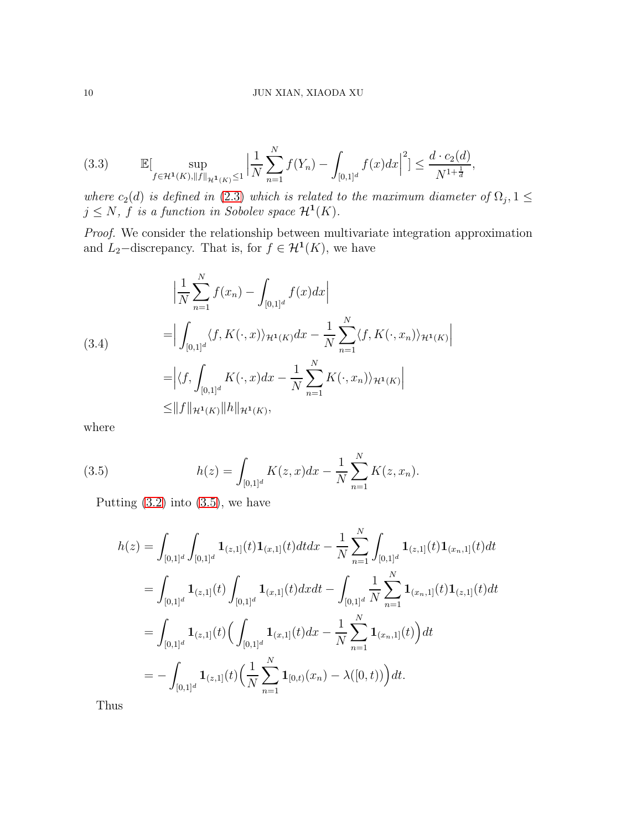$$
(3.3) \qquad \mathbb{E}[\sup_{f \in \mathcal{H}^1(K), \|f\|_{\mathcal{H}^1(K)} \le 1} \left| \frac{1}{N} \sum_{n=1}^N f(Y_n) - \int_{[0,1]^d} f(x) dx \right|^2] \le \frac{d \cdot c_2(d)}{N^{1 + \frac{1}{d}}},
$$

*where*  $c_2(d)$  *is defined in* [\(2.3\)](#page-4-1) *which is related to the maximum diameter of*  $\Omega_j$ ,  $1 \leq$  $j \leq N$ ,  $\hat{f}$  *is a function in Sobolev space*  $\mathcal{H}^1(K)$ *.* 

*Proof.* We consider the relationship between multivariate integration approximation and  $L_2$ -discrepancy. That is, for  $f \in H^1(K)$ , we have

<span id="page-9-1"></span>
$$
\left| \frac{1}{N} \sum_{n=1}^{N} f(x_n) - \int_{[0,1]^d} f(x) dx \right|
$$
\n
$$
= \left| \int_{[0,1]^d} \langle f, K(\cdot, x) \rangle_{\mathcal{H}^1(K)} dx - \frac{1}{N} \sum_{n=1}^{N} \langle f, K(\cdot, x_n) \rangle_{\mathcal{H}^1(K)} \right|
$$
\n
$$
= \left| \langle f, \int_{[0,1]^d} K(\cdot, x) dx - \frac{1}{N} \sum_{n=1}^{N} K(\cdot, x_n) \rangle_{\mathcal{H}^1(K)} \right|
$$
\n
$$
\leq \|f\|_{\mathcal{H}^1(K)} \|h\|_{\mathcal{H}^1(K)},
$$

where

(3.5) 
$$
h(z) = \int_{[0,1]^d} K(z,x)dx - \frac{1}{N}\sum_{n=1}^N K(z,x_n).
$$

Putting  $(3.2)$  into  $(3.5)$ , we have

<span id="page-9-0"></span>
$$
h(z) = \int_{[0,1]^d} \int_{[0,1]^d} \mathbf{1}_{(z,1]}(t) \mathbf{1}_{(x,1]}(t) dt dx - \frac{1}{N} \sum_{n=1}^N \int_{[0,1]^d} \mathbf{1}_{(z,1]}(t) \mathbf{1}_{(x_n,1]}(t) dt
$$
  
\n
$$
= \int_{[0,1]^d} \mathbf{1}_{(z,1]}(t) \int_{[0,1]^d} \mathbf{1}_{(x,1]}(t) dx dt - \int_{[0,1]^d} \frac{1}{N} \sum_{n=1}^N \mathbf{1}_{(x_n,1]}(t) \mathbf{1}_{(z,1]}(t) dt
$$
  
\n
$$
= \int_{[0,1]^d} \mathbf{1}_{(z,1]}(t) \Big( \int_{[0,1]^d} \mathbf{1}_{(x,1]}(t) dx - \frac{1}{N} \sum_{n=1}^N \mathbf{1}_{(x_n,1]}(t) \Big) dt
$$
  
\n
$$
= - \int_{[0,1]^d} \mathbf{1}_{(z,1]}(t) \Big( \frac{1}{N} \sum_{n=1}^N \mathbf{1}_{[0,t)}(x_n) - \lambda([0,t)) \Big) dt.
$$

Thus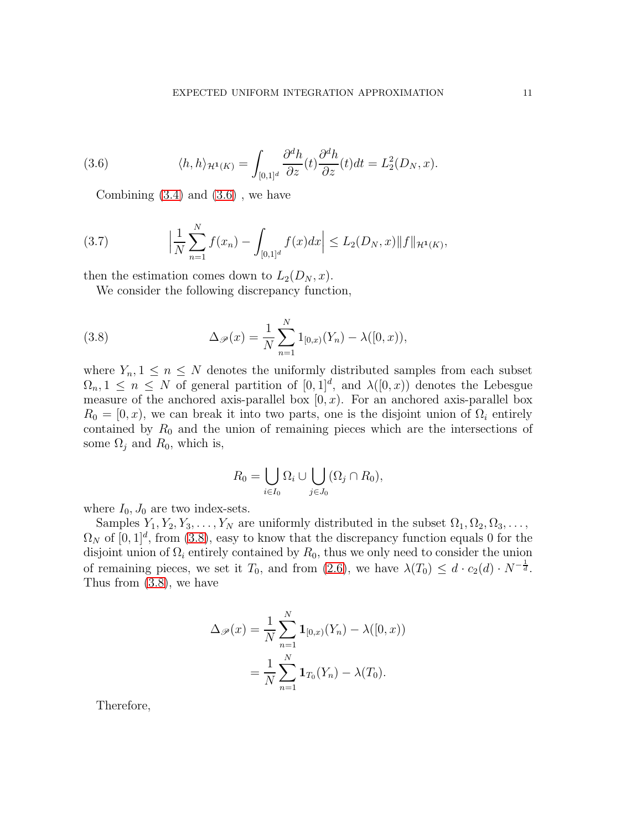(3.6) 
$$
\langle h, h \rangle_{\mathcal{H}^1(K)} = \int_{[0,1]^d} \frac{\partial^d h}{\partial z}(t) \frac{\partial^d h}{\partial z}(t) dt = L_2^2(D_N, x).
$$

<span id="page-10-0"></span>Combining  $(3.4)$  and  $(3.6)$ , we have

<span id="page-10-2"></span>(3.7) 
$$
\left|\frac{1}{N}\sum_{n=1}^{N}f(x_n)-\int_{[0,1]^d}f(x)dx\right|\leq L_2(D_N,x)\|f\|_{\mathcal{H}^1(K)},
$$

then the estimation comes down to  $L_2(D_N, x)$ .

<span id="page-10-1"></span>We consider the following discrepancy function,

(3.8) 
$$
\Delta_{\mathscr{P}}(x) = \frac{1}{N} \sum_{n=1}^{N} 1_{[0,x)}(Y_n) - \lambda([0,x)),
$$

where  $Y_n, 1 \leq n \leq N$  denotes the uniformly distributed samples from each subset  $\Omega_n, 1 \leq n \leq N$  of general partition of  $[0, 1]^d$ , and  $\lambda([0, x))$  denotes the Lebesgue measure of the anchored axis-parallel box  $[0, x)$ . For an anchored axis-parallel box  $R_0 = [0, x)$ , we can break it into two parts, one is the disjoint union of  $\Omega_i$  entirely contained by  $R_0$  and the union of remaining pieces which are the intersections of some  $\Omega_i$  and  $R_0$ , which is,

$$
R_0 = \bigcup_{i \in I_0} \Omega_i \cup \bigcup_{j \in J_0} (\Omega_j \cap R_0),
$$

where  $I_0$ ,  $J_0$  are two index-sets.

Samples  $Y_1, Y_2, Y_3, \ldots, Y_N$  are uniformly distributed in the subset  $\Omega_1, \Omega_2, \Omega_3, \ldots$ ,  $\Omega_N$  of  $[0,1]^d$ , from  $(3.8)$ , easy to know that the discrepancy function equals 0 for the disjoint union of  $\Omega_i$  entirely contained by  $R_0$ , thus we only need to consider the union of remaining pieces, we set it  $T_0$ , and from  $(2.6)$ , we have  $\lambda(T_0) \leq d \cdot c_2(d) \cdot N^{-\frac{1}{d}}$ . Thus from [\(3.8\)](#page-10-1), we have

$$
\Delta_{\mathscr{P}}(x) = \frac{1}{N} \sum_{n=1}^{N} \mathbf{1}_{[0,x)}(Y_n) - \lambda([0,x))
$$

$$
= \frac{1}{N} \sum_{n=1}^{N} \mathbf{1}_{T_0}(Y_n) - \lambda(T_0).
$$

Therefore,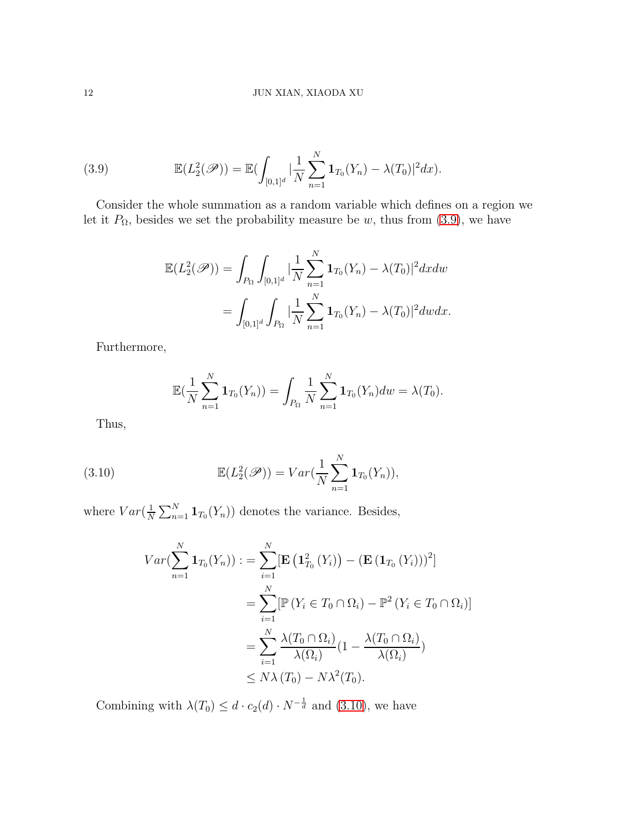(3.9) 
$$
\mathbb{E}(L_2^2(\mathscr{P})) = \mathbb{E}(\int_{[0,1]^d} |\frac{1}{N} \sum_{n=1}^N \mathbf{1}_{T_0}(Y_n) - \lambda(T_0)|^2 dx).
$$

Consider the whole summation as a random variable which defines on a region we let it  $P_{\Omega}$ , besides we set the probability measure be w, thus from [\(3.9\)](#page-11-0), we have

<span id="page-11-0"></span>
$$
\mathbb{E}(L_2^2(\mathscr{P})) = \int_{P_{\Omega}} \int_{[0,1]^d} |\frac{1}{N} \sum_{n=1}^N \mathbf{1}_{T_0}(Y_n) - \lambda(T_0)|^2 dx dw
$$
  
= 
$$
\int_{[0,1]^d} \int_{P_{\Omega}} |\frac{1}{N} \sum_{n=1}^N \mathbf{1}_{T_0}(Y_n) - \lambda(T_0)|^2 dw dx.
$$

Furthermore,

<span id="page-11-1"></span>
$$
\mathbb{E}(\frac{1}{N}\sum_{n=1}^{N} \mathbf{1}_{T_0}(Y_n)) = \int_{P_{\Omega}} \frac{1}{N} \sum_{n=1}^{N} \mathbf{1}_{T_0}(Y_n) dw = \lambda(T_0).
$$

Thus,

(3.10) 
$$
\mathbb{E}(L_2^2(\mathscr{P})) = Var(\frac{1}{N}\sum_{n=1}^N \mathbf{1}_{T_0}(Y_n)),
$$

where  $Var(\frac{1}{N})$  $\frac{1}{N} \sum_{n=1}^{N} \mathbf{1}_{T_0}(Y_n)$  denotes the variance. Besides,

$$
Var(\sum_{n=1}^{N} \mathbf{1}_{T_0}(Y_n)) := \sum_{i=1}^{N} [\mathbf{E} (\mathbf{1}_{T_0}^2 (Y_i)) - (\mathbf{E} (\mathbf{1}_{T_0} (Y_i)))^2]
$$
  
= 
$$
\sum_{i=1}^{N} [\mathbb{P} (Y_i \in T_0 \cap \Omega_i) - \mathbb{P}^2 (Y_i \in T_0 \cap \Omega_i)]
$$
  
= 
$$
\sum_{i=1}^{N} \frac{\lambda(T_0 \cap \Omega_i)}{\lambda(\Omega_i)} (1 - \frac{\lambda(T_0 \cap \Omega_i)}{\lambda(\Omega_i)})
$$
  
\$\leq N\lambda(T\_0) - N\lambda^2(T\_0).

Combining with  $\lambda(T_0) \leq d \cdot c_2(d) \cdot N^{-\frac{1}{d}}$  and [\(3.10\)](#page-11-1), we have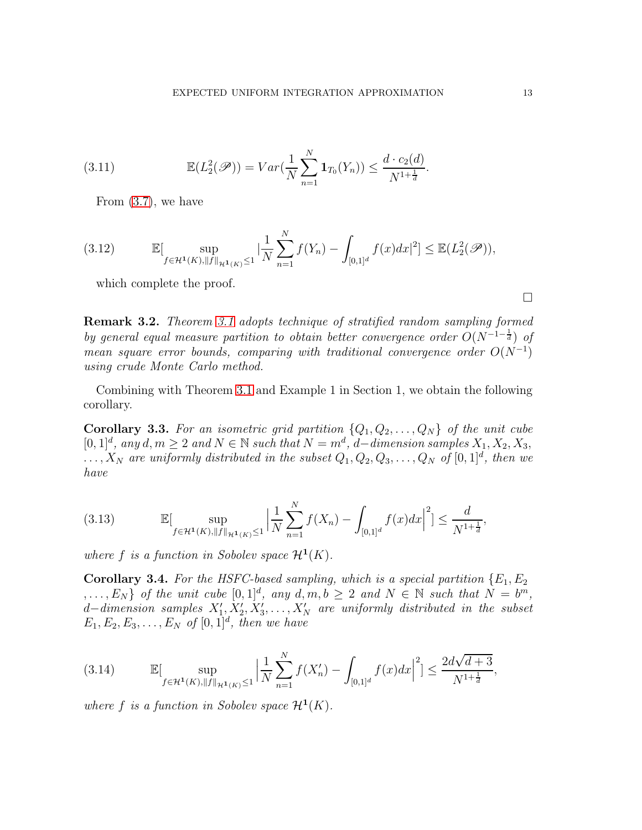(3.11) 
$$
\mathbb{E}(L_2^2(\mathscr{P})) = Var(\frac{1}{N} \sum_{n=1}^N \mathbf{1}_{T_0}(Y_n)) \leq \frac{d \cdot c_2(d)}{N^{1 + \frac{1}{d}}}.
$$

From [\(3.7\)](#page-10-2), we have

(3.12) 
$$
\mathbb{E}[\sup_{f \in \mathcal{H}^1(K), \|f\|_{\mathcal{H}^1(K)} \leq 1} |\frac{1}{N} \sum_{n=1}^N f(Y_n) - \int_{[0,1]^d} f(x) dx|^2] \leq \mathbb{E}(L_2^2(\mathscr{P})),
$$

which complete the proof.

Remark 3.2. *Theorem [3.1](#page-8-3) adopts technique of stratified random sampling formed by general equal measure partition to obtain better convergence order*  $O(N^{-1-\frac{1}{d}})$  *of mean square error bounds, comparing with traditional convergence order*  $O(N^{-1})$ *using crude Monte Carlo method.*

Combining with Theorem [3.1](#page-8-3) and Example 1 in Section 1, we obtain the following corollary.

<span id="page-12-0"></span>**Corollary 3.3.** For an isometric grid partition  $\{Q_1, Q_2, \ldots, Q_N\}$  of the unit cube [0, 1]<sup>d</sup>, any d, m ≥ 2 and N ∈ N such that  $N = m^d$ , d–dimension samples  $X_1, X_2, X_3$ ,  $\ldots, X_N$  are uniformly distributed in the subset  $Q_1, Q_2, Q_3, \ldots, Q_N$  of  $[0, 1]^d$ , then we *have*

(3.13) 
$$
\mathbb{E}[\sup_{f \in \mathcal{H}^1(K), \|f\|_{\mathcal{H}^1(K)} \leq 1} \left| \frac{1}{N} \sum_{n=1}^N f(X_n) - \int_{[0,1]^d} f(x) dx \right|^2] \leq \frac{d}{N^{1+\frac{1}{d}}},
$$

where  $f$  is a function in Sobolev space  $\mathcal{H}^1(K)$ .

<span id="page-12-1"></span>**Corollary 3.4.** For the HSFC-based sampling, which is a special partition  $\{E_1, E_2\}$  $,..., E_N$  *of the unit cube*  $[0,1]^d$ , any  $d, m, b \geq 2$  and  $N \in \mathbb{N}$  such that  $N = b^m$ , d−dimension samples  $X'_1, X'_2, X'_3, \ldots, X'_N$  are uniformly distributed in the subset  $E_1, E_2, E_3, \ldots, E_N$  of  $[0, 1]^d$ , then we have

$$
(3.14) \qquad \mathbb{E}[\sup_{f \in \mathcal{H}^1(K), \|f\|_{\mathcal{H}^1(K)} \le 1} \left| \frac{1}{N} \sum_{n=1}^N f(X_n') - \int_{[0,1]^d} f(x) dx \right|^2] \le \frac{2d\sqrt{d+3}}{N^{1+\frac{1}{d}}},
$$

where  $f$  is a function in Sobolev space  $\mathcal{H}^1(K)$ .

 $\Box$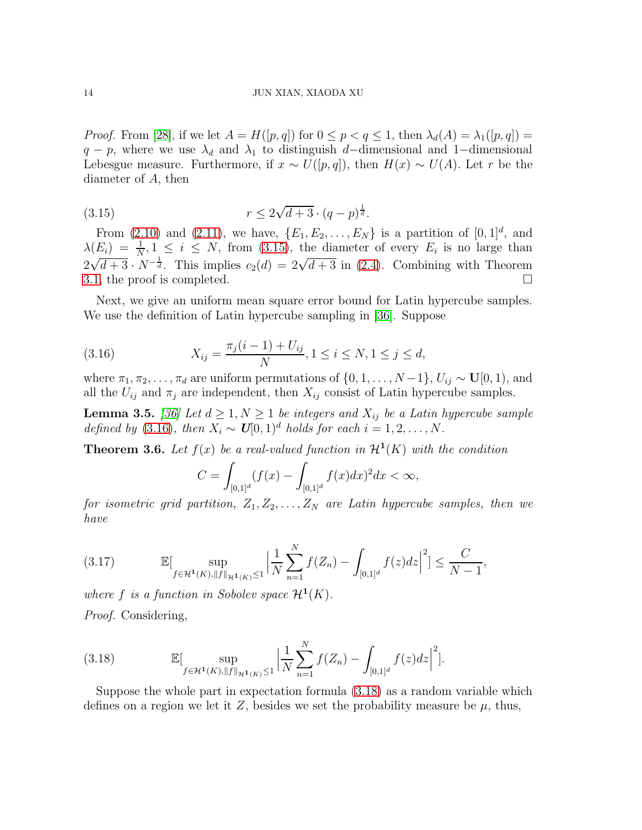*Proof.* From [\[28\]](#page-23-21), if we let  $A = H([p,q])$  for  $0 \le p < q \le 1$ , then  $\lambda_d(A) = \lambda_1([p,q])$  $q - p$ , where we use  $\lambda_d$  and  $\lambda_1$  to distinguish d–dimensional and 1–dimensional Lebesgue measure. Furthermore, if  $x \sim U([p,q])$ , then  $H(x) \sim U(A)$ . Let r be the diameter of A, then

<span id="page-13-0"></span>(3.15) 
$$
r \le 2\sqrt{d+3} \cdot (q-p)^{\frac{1}{d}}.
$$

From  $(2.10)$  and  $(2.11)$ , we have,  $\{E_1, E_2, ..., E_N\}$  is a partition of  $[0, 1]^d$ , and  $\lambda(E_i) = \frac{1}{N}, 1 \leq i \leq N$ , from [\(3.15\)](#page-13-0), the diameter of every  $E_i$  is no large than  $2\sqrt{d+3}\cdot N^{-\frac{1}{d}}$ . This implies  $c_2(d) = 2\sqrt{d+3}$  in [\(2.4\)](#page-5-3). Combining with Theorem [3.1,](#page-8-3) the proof is completed.  $\Box$ 

Next, we give an uniform mean square error bound for Latin hypercube samples. We use the definition of Latin hypercube sampling in [\[36\]](#page-24-9). Suppose

<span id="page-13-1"></span>(3.16) 
$$
X_{ij} = \frac{\pi_j(i-1) + U_{ij}}{N}, 1 \le i \le N, 1 \le j \le d,
$$

where  $\pi_1, \pi_2, \ldots, \pi_d$  are uniform permutations of  $\{0, 1, \ldots, N-1\}, U_{ij} \sim \mathbf{U}[0, 1)$ , and all the  $U_{ij}$  and  $\pi_j$  are independent, then  $X_{ij}$  consist of Latin hypercube samples.

<span id="page-13-3"></span>**Lemma 3.5.** *[\[36\]](#page-24-9)* Let  $d \geq 1, N \geq 1$  *be integers and*  $X_{ij}$  *be a Latin hypercube sample defined by* [\(3.16\)](#page-13-1)*, then*  $X_i \sim U[0, 1]^d$  *holds for each*  $i = 1, 2, ..., N$ .

<span id="page-13-4"></span>**Theorem 3.6.** Let  $f(x)$  be a real-valued function in  $\mathcal{H}^1(K)$  with the condition

$$
C = \int_{[0,1]^d} (f(x) - \int_{[0,1]^d} f(x)dx)^2 dx < \infty,
$$

*for isometric grid partition,*  $Z_1, Z_2, \ldots, Z_N$  *are Latin hypercube samples, then we have*

(3.17) 
$$
\mathbb{E}[\sup_{f \in \mathcal{H}^1(K), \|f\|_{\mathcal{H}^1(K)} \leq 1} \left| \frac{1}{N} \sum_{n=1}^N f(Z_n) - \int_{[0,1]^d} f(z) dz \right|^2] \leq \frac{C}{N-1},
$$

where  $f$  is a function in Sobolev space  $\mathcal{H}^1(K)$ .

*Proof.* Considering,

<span id="page-13-2"></span>(3.18) 
$$
\mathbb{E}[\sup_{f \in \mathcal{H}^1(K), \|f\|_{\mathcal{H}^1(K)} \leq 1} \left| \frac{1}{N} \sum_{n=1}^N f(Z_n) - \int_{[0,1]^d} f(z) dz \right|^2].
$$

Suppose the whole part in expectation formula [\(3.18\)](#page-13-2) as a random variable which defines on a region we let it Z, besides we set the probability measure be  $\mu$ , thus,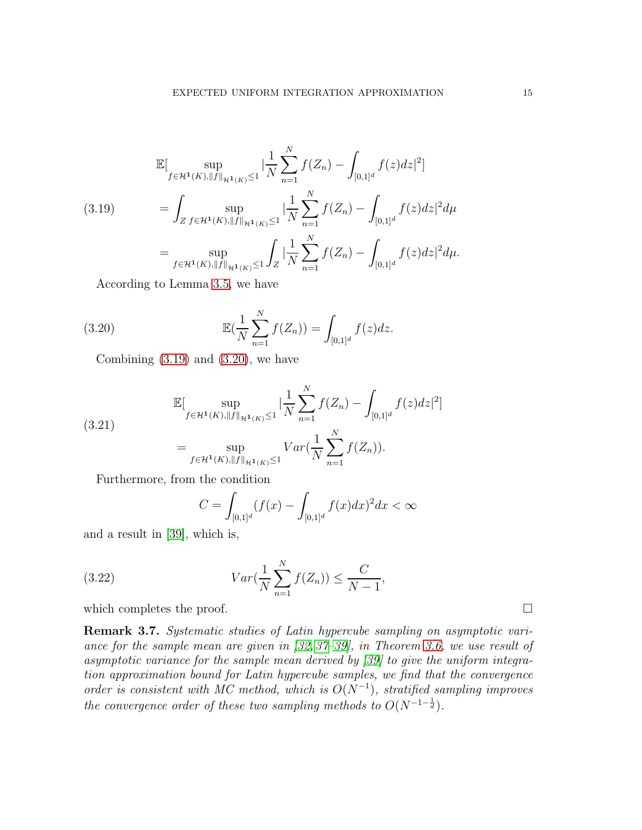<span id="page-14-0"></span>
$$
\mathbb{E}[\sup_{f \in \mathcal{H}^1(K), \|f\|_{\mathcal{H}^1(K)} \le 1} |\frac{1}{N} \sum_{n=1}^N f(Z_n) - \int_{[0,1]^d} f(z) dz|^2]
$$
\n
$$
= \int_{Z} \sup_{f \in \mathcal{H}^1(K), \|f\|_{\mathcal{H}^1(K)} \le 1} |\frac{1}{N} \sum_{n=1}^N f(Z_n) - \int_{[0,1]^d} f(z) dz|^2 d\mu
$$
\n
$$
= \sup_{f \in \mathcal{H}^1(K), \|f\|_{\mathcal{H}^1(K)} \le 1} \int_Z |\frac{1}{N} \sum_{n=1}^N f(Z_n) - \int_{[0,1]^d} f(z) dz|^2 d\mu.
$$

According to Lemma [3.5,](#page-13-3) we have

(3.20) 
$$
\mathbb{E}(\frac{1}{N}\sum_{n=1}^{N}f(Z_n)) = \int_{[0,1]^d}f(z)dz.
$$

<span id="page-14-1"></span>Combining  $(3.19)$  and  $(3.20)$ , we have

(3.21)  
\n
$$
\mathbb{E}[\sup_{f \in \mathcal{H}^1(K), \|f\|_{\mathcal{H}^1(K)} \le 1} |\frac{1}{N} \sum_{n=1}^N f(Z_n) - \int_{[0,1]^d} f(z) dz|^2]
$$
\n
$$
= \sup_{f \in \mathcal{H}^1(K), \|f\|_{\mathcal{H}^1(K)} \le 1} Var(\frac{1}{N} \sum_{n=1}^N f(Z_n)).
$$

Furthermore, from the condition

$$
C = \int_{[0,1]^d} (f(x) - \int_{[0,1]^d} f(x)dx)^2 dx < \infty
$$

and a result in [\[39\]](#page-24-10), which is,

(3.22) 
$$
Var(\frac{1}{N} \sum_{n=1}^{N} f(Z_n)) \leq \frac{C}{N-1},
$$

which completes the proof.  $\Box$ 

Remark 3.7. *Systematic studies of Latin hypercube sampling on asymptotic variance for the sample mean are given in [\[32,](#page-23-17) [37–](#page-24-11)[39\]](#page-24-10), in Theorem [3.6,](#page-13-4) we use result of asymptotic variance for the sample mean derived by [\[39\]](#page-24-10) to give the uniform integration approximation bound for Latin hypercube samples, we find that the convergence order is consistent with MC method, which is*  $O(N^{-1})$ *, stratified sampling improves the convergence order of these two sampling methods to*  $O(N^{-1-\frac{1}{d}})$ *.*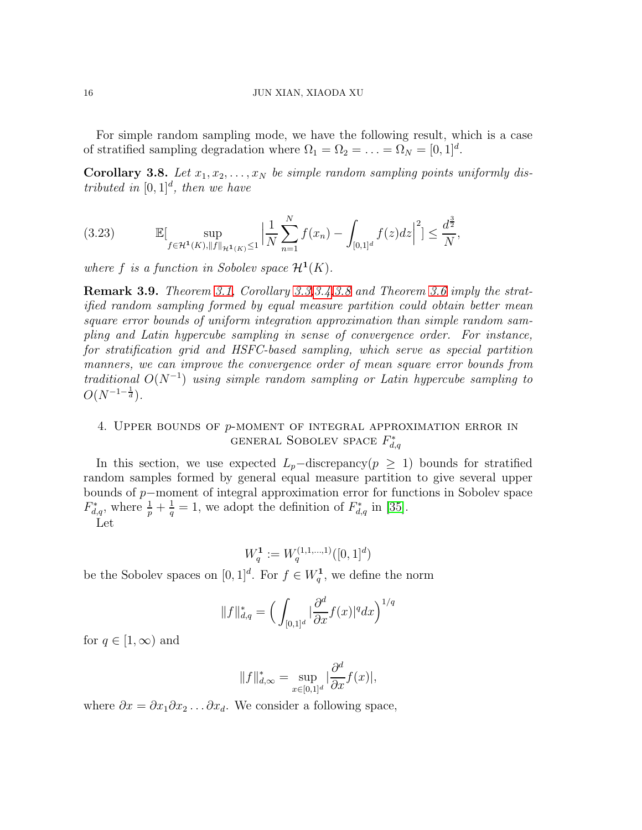For simple random sampling mode, we have the following result, which is a case of stratified sampling degradation where  $\Omega_1 = \Omega_2 = \ldots = \Omega_N = [0, 1]^d$ .

<span id="page-15-1"></span>Corollary 3.8. Let  $x_1, x_2, \ldots, x_N$  be simple random sampling points uniformly dis*tributed in*  $[0, 1]^d$ *, then we have* 

(3.23) 
$$
\mathbb{E}[\sup_{f \in \mathcal{H}^1(K), \|f\|_{\mathcal{H}^1(K)} \leq 1} \left| \frac{1}{N} \sum_{n=1}^N f(x_n) - \int_{[0,1]^d} f(z) dz \right|^2] \leq \frac{d^{\frac{3}{2}}}{N},
$$

where  $f$  is a function in Sobolev space  $\mathcal{H}^1(K)$ .

Remark 3.9. *Theorem [3.1,](#page-8-3) Corollary [3.3,](#page-12-0)[3.4,](#page-12-1)[3.8](#page-15-1) and Theorem [3.6](#page-13-4) imply the stratified random sampling formed by equal measure partition could obtain better mean square error bounds of uniform integration approximation than simple random sampling and Latin hypercube sampling in sense of convergence order. For instance, for stratification grid and HSFC-based sampling, which serve as special partition manners, we can improve the convergence order of mean square error bounds from*  $traditional\ O(N^{-1})$  *using simple random sampling or Latin hypercube sampling to*  $O(N^{-1-\frac{1}{d}})$ .

# <span id="page-15-0"></span>4. Upper bounds of p-moment of integral approximation error in general Sobolev space  $F_{d,q}^*$

In this section, we use expected  $L_p$ –discrepancy( $p \geq 1$ ) bounds for stratified random samples formed by general equal measure partition to give several upper bounds of p−moment of integral approximation error for functions in Sobolev space  $F_{d,q}^*$ , where  $\frac{1}{p} + \frac{1}{q} = 1$ , we adopt the definition of  $F_{d,q}^*$  in [\[35\]](#page-24-8).

Let

$$
W_q^1 := W_q^{(1,1,\ldots,1)}([0,1]^d)
$$

be the Sobolev spaces on  $[0,1]^d$ . For  $f \in W_q^1$ , we define the norm

$$
||f||_{d,q}^* = \Big(\int_{[0,1]^d} |\frac{\partial^d}{\partial x} f(x)|^q dx\Big)^{1/q}
$$

for  $q \in [1, \infty)$  and

$$
||f||_{d,\infty}^* = \sup_{x \in [0,1]^d} |\frac{\partial^d}{\partial x} f(x)|,
$$

where  $\partial x = \partial x_1 \partial x_2 \dots \partial x_d$ . We consider a following space,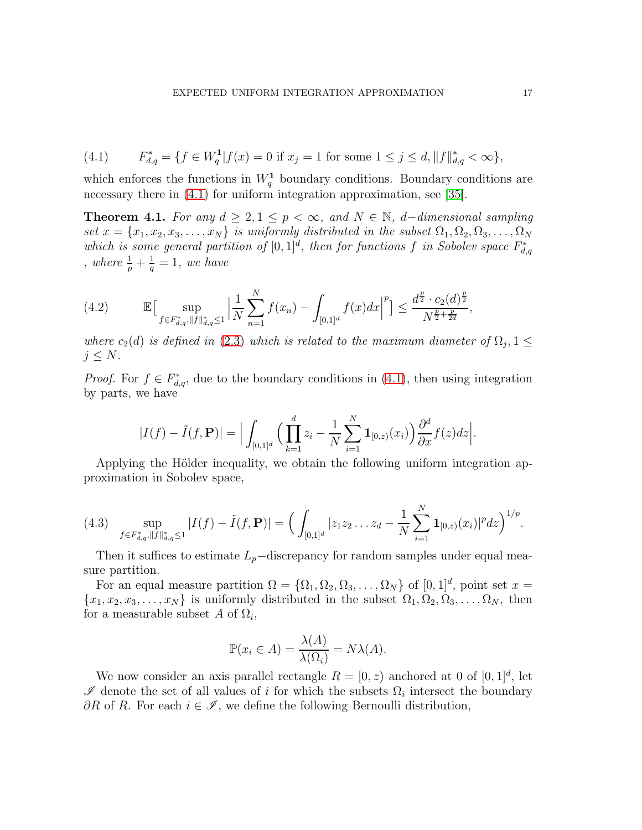<span id="page-16-0"></span>(4.1) 
$$
F_{d,q}^* = \{ f \in W_q^1 | f(x) = 0 \text{ if } x_j = 1 \text{ for some } 1 \le j \le d, ||f||_{d,q}^* < \infty \},
$$

which enforces the functions in  $W_q^1$  boundary conditions. Boundary conditions are necessary there in  $(4.1)$  for uniform integration approximation, see [\[35\]](#page-24-8).

<span id="page-16-2"></span>**Theorem 4.1.** *For any*  $d \geq 2, 1 \leq p < \infty$ , and  $N \in \mathbb{N}$ , *d*−*dimensional sampling set*  $x = \{x_1, x_2, x_3, \ldots, x_N\}$  *is uniformly distributed in the subset*  $\Omega_1, \Omega_2, \Omega_3, \ldots, \Omega_N$ which is some general partition of  $[0,1]^d$ , then for functions f in Sobolev space  $F_{d,q}^*$ *, where*  $\frac{1}{p} + \frac{1}{q}$  $\frac{1}{q} = 1$ , we have

(4.2) 
$$
\mathbb{E}\big[\sup_{f\in F_{d,q}^*,\|f\|_{d,q}^*\leq 1}\Big|\frac{1}{N}\sum_{n=1}^N f(x_n)-\int_{[0,1]^d}f(x)dx\Big|^p\big]\leq \frac{d^{\frac{p}{2}}\cdot c_2(d)^{\frac{p}{2}}}{N^{\frac{p}{2}+\frac{p}{2d}}},
$$

*where*  $c_2(d)$  *is defined in* [\(2.3\)](#page-4-1) *which is related to the maximum diameter of*  $\Omega_j$ ,  $1 \leq$  $j \leq N$ .

*Proof.* For  $f \in F_{d,q}^*$ , due to the boundary conditions in  $(4.1)$ , then using integration by parts, we have

$$
|I(f) - \tilde{I}(f, \mathbf{P})| = \Big| \int_{[0,1]^d} \Big( \prod_{k=1}^d z_i - \frac{1}{N} \sum_{i=1}^N \mathbf{1}_{[0,z)}(x_i) \Big) \frac{\partial^d}{\partial x} f(z) dz \Big|.
$$

Applying the Hölder inequality, we obtain the following uniform integration approximation in Sobolev space,

<span id="page-16-1"></span>
$$
(4.3) \quad \sup_{f\in F_{d,q}^*, \|f\|_{d,q}^*\leq 1} |I(f)-\tilde{I}(f,\mathbf{P})| = \Big(\int_{[0,1]^d} |z_1z_2\ldots z_d - \frac{1}{N}\sum_{i=1}^N \mathbf{1}_{[0,z)}(x_i)|^p dz\Big)^{1/p}.
$$

Then it suffices to estimate  $L_p$ –discrepancy for random samples under equal measure partition.

For an equal measure partition  $\Omega = {\Omega_1, \Omega_2, \Omega_3, \ldots, \Omega_N}$  of  $[0, 1]^d$ , point set  $x =$  $\{x_1, x_2, x_3, \ldots, x_N\}$  is uniformly distributed in the subset  $\Omega_1, \Omega_2, \Omega_3, \ldots, \Omega_N$ , then for a measurable subset A of  $\Omega_i$ ,

$$
\mathbb{P}(x_i \in A) = \frac{\lambda(A)}{\lambda(\Omega_i)} = N\lambda(A).
$$

We now consider an axis parallel rectangle  $R = [0, z)$  anchored at 0 of  $[0, 1]^d$ , let  $\mathscr I$  denote the set of all values of i for which the subsets  $\Omega_i$  intersect the boundary  $\partial R$  of R. For each  $i \in \mathscr{I}$ , we define the following Bernoulli distribution,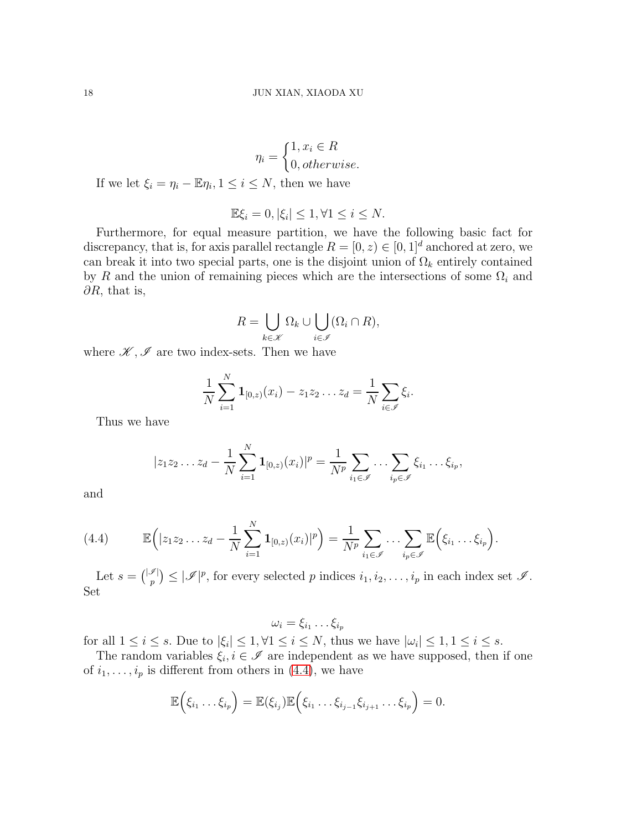$$
\eta_i = \begin{cases} 1, x_i \in R \\ 0, otherwise. \end{cases}
$$

If we let  $\xi_i = \eta_i - \mathbb{E}\eta_i, 1 \leq i \leq N$ , then we have

$$
\mathbb{E}\xi_i = 0, |\xi_i| \le 1, \forall 1 \le i \le N.
$$

Furthermore, for equal measure partition, we have the following basic fact for discrepancy, that is, for axis parallel rectangle  $R = [0, z) \in [0, 1]^d$  anchored at zero, we can break it into two special parts, one is the disjoint union of  $\Omega_k$  entirely contained by R and the union of remaining pieces which are the intersections of some  $\Omega_i$  and  $\partial R$ , that is,

$$
R = \bigcup_{k \in \mathcal{K}} \Omega_k \cup \bigcup_{i \in \mathcal{I}} (\Omega_i \cap R),
$$

where  $\mathscr{K}, \mathscr{I}$  are two index-sets. Then we have

$$
\frac{1}{N} \sum_{i=1}^{N} \mathbf{1}_{[0,z)}(x_i) - z_1 z_2 \dots z_d = \frac{1}{N} \sum_{i \in \mathscr{I}} \xi_i.
$$

Thus we have

$$
|z_1 z_2 ... z_d - \frac{1}{N} \sum_{i=1}^N \mathbf{1}_{[0,z)}(x_i)|^p = \frac{1}{N^p} \sum_{i_1 \in \mathscr{I}} \cdots \sum_{i_p \in \mathscr{I}} \xi_{i_1} \cdots \xi_{i_p},
$$

and

<span id="page-17-0"></span>(4.4) 
$$
\mathbb{E}\Big(|z_1z_2...z_d-\frac{1}{N}\sum_{i=1}^N\mathbf{1}_{[0,z)}(x_i)|^p\Big)=\frac{1}{N^p}\sum_{i_1\in\mathscr{I}}\cdots\sum_{i_p\in\mathscr{I}}\mathbb{E}\Big(\xi_{i_1}\ldots\xi_{i_p}\Big).
$$

Let  $s = \binom{|\mathcal{I}|}{p} \leq |\mathcal{I}|^p$ , for every selected p indices  $i_1, i_2, \ldots, i_p$  in each index set  $\mathcal{I}$ . Set

 $\omega_i=\xi_{i_1}\dots \xi_{i_p}$ 

for all  $1 \leq i \leq s$ . Due to  $|\xi_i| \leq 1, \forall 1 \leq i \leq N$ , thus we have  $|\omega_i| \leq 1, 1 \leq i \leq s$ .

The random variables  $\xi_i, i \in \mathcal{I}$  are independent as we have supposed, then if one of  $i_1, \ldots, i_p$  is different from others in [\(4.4\)](#page-17-0), we have

$$
\mathbb{E}\Big(\xi_{i_1}\ldots\xi_{i_p}\Big)=\mathbb{E}(\xi_{i_j})\mathbb{E}\Big(\xi_{i_1}\ldots\xi_{i_{j-1}}\xi_{i_{j+1}}\ldots\xi_{i_p}\Big)=0.
$$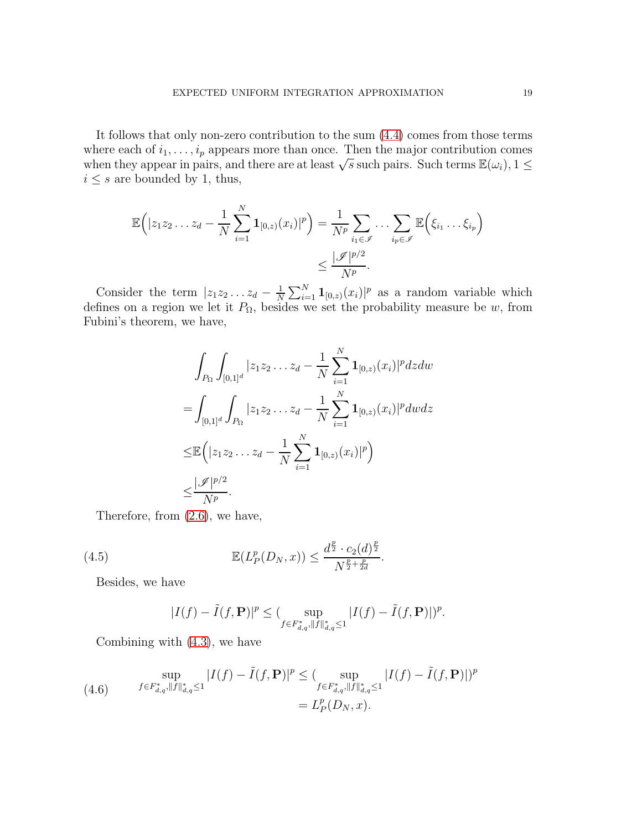It follows that only non-zero contribution to the sum [\(4.4\)](#page-17-0) comes from those terms where each of  $i_1, \ldots, i_p$  appears more than once. Then the major contribution comes when they appear in pairs, and there are at least  $\sqrt{s}$  such pairs. Such terms  $\mathbb{E}(\omega_i)$ ,  $1 \leq$  $i \leq s$  are bounded by 1, thus,

$$
\mathbb{E}\Big(|z_1z_2\ldots z_d-\frac{1}{N}\sum_{i=1}^N\mathbf{1}_{[0,z)}(x_i)|^p\Big)=\frac{1}{N^p}\sum_{i_1\in\mathscr{I}}\ldots\sum_{i_p\in\mathscr{I}}\mathbb{E}\Big(\xi_{i_1}\ldots\xi_{i_p}\Big)\leq\frac{|\mathscr{I}|^{p/2}}{N^p}.
$$

Consider the term  $|z_1z_2...z_d-\frac{1}{N}\rangle$  $\frac{1}{N}\sum_{i=1}^{N} \mathbf{1}_{[0,z)}(x_i)|^p$  as a random variable which defines on a region we let it  $P_{\Omega}$ , besides we set the probability measure be w, from Fubini's theorem, we have,

$$
\int_{P_{\Omega}} \int_{[0,1]^d} |z_1 z_2 \dots z_d - \frac{1}{N} \sum_{i=1}^N \mathbf{1}_{[0,z)}(x_i)|^p dz dw
$$
\n
$$
= \int_{[0,1]^d} \int_{P_{\Omega}} |z_1 z_2 \dots z_d - \frac{1}{N} \sum_{i=1}^N \mathbf{1}_{[0,z)}(x_i)|^p dw dz
$$
\n
$$
\leq \mathbb{E} \Big( |z_1 z_2 \dots z_d - \frac{1}{N} \sum_{i=1}^N \mathbf{1}_{[0,z)}(x_i)|^p \Big)
$$
\n
$$
\leq \frac{|\mathcal{J}|^{p/2}}{N^p}.
$$

Therefore, from [\(2.6\)](#page-5-2), we have,

(4.5) 
$$
\mathbb{E}(L_P^p(D_N, x)) \leq \frac{d^{\frac{p}{2}} \cdot c_2(d)^{\frac{p}{2}}}{N^{\frac{p}{2} + \frac{p}{2d}}}.
$$

Besides, we have

<span id="page-18-0"></span>
$$
|I(f) - \tilde{I}(f, \mathbf{P})|^p \le (\sup_{f \in F_{d,q}^*, ||f||_{d,q}^* \le 1} |I(f) - \tilde{I}(f, \mathbf{P})|)^p.
$$

Combining with [\(4.3\)](#page-16-1), we have

<span id="page-18-1"></span>(4.6) 
$$
\sup_{f \in F_{d,q}^*, \|f\|_{d,q}^* \le 1} |I(f) - \tilde{I}(f,\mathbf{P})|^p \le (\sup_{f \in F_{d,q}^*, \|f\|_{d,q}^* \le 1} |I(f) - \tilde{I}(f,\mathbf{P})|)^p
$$

$$
= L_P^p(D_N, x).
$$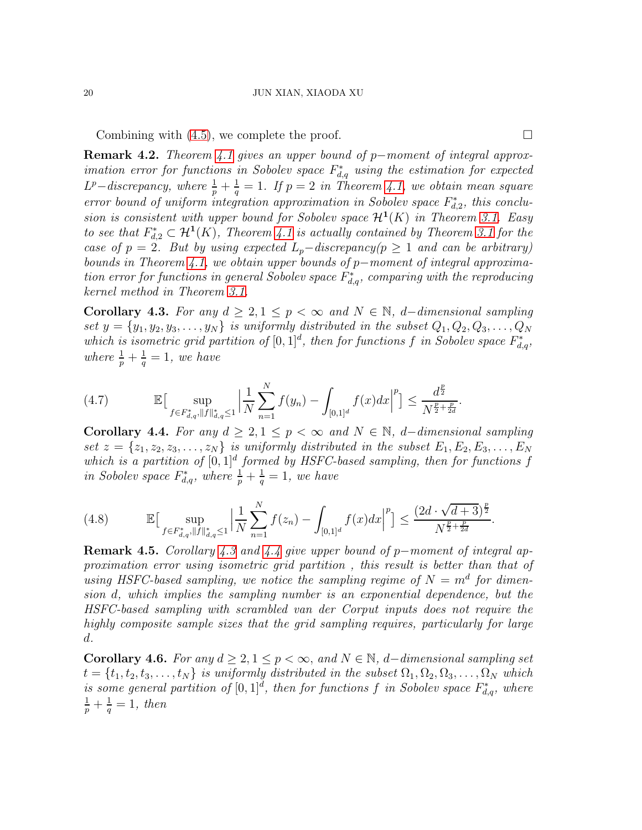Combining with  $(4.5)$ , we complete the proof.

Remark 4.2. *Theorem [4.1](#page-16-2) gives an upper bound of* p−*moment of integral approximation error for functions in Sobolev space*  $F_{d,q}^*$  *using the estimation for expected*  $L^p$ *-discrepancy, where*  $\frac{1}{p} + \frac{1}{q}$  $\frac{1}{q} = 1$ *. If*  $p = 2$  *in Theorem [4.1,](#page-16-2)* we obtain mean square *error bound of uniform integration approximation in Sobolev space*  $F_{d,2}^*$ , this conclu*sion is consistent with upper bound for Sobolev space*  $\mathcal{H}^1(K)$  *in Theorem [3.1.](#page-8-3)* Easy *to see that*  $F_{d,2}^* \subset \mathcal{H}^1(K)$ , Theorem [4.1](#page-16-2) *is actually contained by Theorem [3.1](#page-8-3) for the case of*  $p = 2$ *. But by using expected*  $L_p$ −*discrepancy*( $p \ge 1$  *and can be arbitrary) bounds in Theorem [4.1,](#page-16-2) we obtain upper bounds of* p−*moment of integral approxima-* $\alpha$  *tion error for functions in general Sobolev space*  $F_{d,q}^*$ , *comparing with the reproducing kernel method in Theorem [3.1.](#page-8-3)*

<span id="page-19-0"></span>Corollary 4.3. For any  $d \geq 2, 1 \leq p < \infty$  and  $N \in \mathbb{N}$ , *d*−*dimensional sampling* set  $y = \{y_1, y_2, y_3, \ldots, y_N\}$  *is uniformly distributed in the subset*  $Q_1, Q_2, Q_3, \ldots, Q_N$ which is isometric grid partition of  $[0,1]^d$ , then for functions f in Sobolev space  $F_{d,q}^*$ , *where*  $\frac{1}{p} + \frac{1}{q}$  $\frac{1}{q} = 1$ , we have

(4.7) 
$$
\mathbb{E}\big[\sup_{f\in F_{d,q}^*,\|f\|_{d,q}^*\leq 1}\Big|\frac{1}{N}\sum_{n=1}^N f(y_n)-\int_{[0,1]^d}f(x)dx\Big|^p\big]\leq \frac{d^{\frac{p}{2}}}{N^{\frac{p}{2}+\frac{p}{2d}}}.
$$

<span id="page-19-1"></span>Corollary 4.4. *For any*  $d \geq 2, 1 \leq p < ∞$  and  $N \in \mathbb{N}$ , *d*-dimensional sampling set  $z = \{z_1, z_2, z_3, \ldots, z_N\}$  *is uniformly distributed in the subset*  $E_1, E_2, E_3, \ldots, E_N$ which is a partition of  $[0,1]^d$  formed by HSFC-based sampling, then for functions f *in Sobolev space*  $F_{d,q}^*$ , where  $\frac{1}{p} + \frac{1}{q}$  $\frac{1}{q} = 1$ , we have

$$
(4.8) \qquad \mathbb{E}\big[\sup_{f\in F_{d,q}^*, \|f\|_{d,q}^*\le 1} \Big|\frac{1}{N}\sum_{n=1}^N f(z_n) - \int_{[0,1]^d} f(x)dx\Big|^p\big] \le \frac{(2d\cdot\sqrt{d+3})^{\frac{p}{2}}}{N^{\frac{p}{2}+\frac{p}{2d}}}
$$

Remark 4.5. *Corollary [4.3](#page-19-0) and [4.4](#page-19-1) give upper bound of* p−*moment of integral approximation error using isometric grid partition , this result is better than that of* using HSFC-based sampling, we notice the sampling regime of  $N = m<sup>d</sup>$  for dimen*sion* d*, which implies the sampling number is an exponential dependence, but the HSFC-based sampling with scrambled van der Corput inputs does not require the highly composite sample sizes that the grid sampling requires, particularly for large* d*.*

<span id="page-19-2"></span>Corollary 4.6. For any  $d \geq 2, 1 \leq p < \infty$ , and  $N \in \mathbb{N}$ , d–dimensional sampling set  $t = \{t_1, t_2, t_3, \ldots, t_N\}$  *is uniformly distributed in the subset*  $\Omega_1, \Omega_2, \Omega_3, \ldots, \Omega_N$  *which is some general partition of*  $[0,1]^d$ , then for functions f in Sobolev space  $F_{d,q}^*$ , where  $\frac{1}{p} + \frac{1}{q}$  $\frac{1}{q} = 1$ , then

.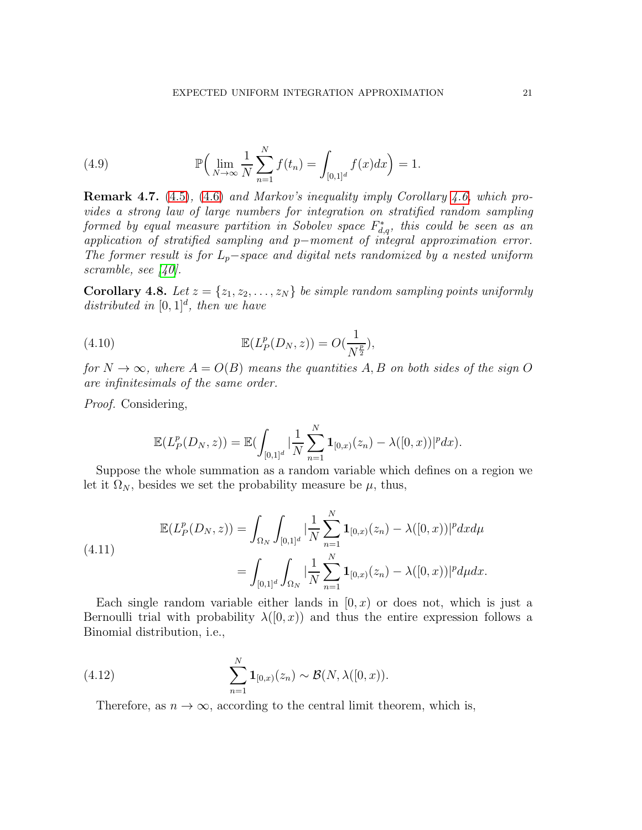(4.9) 
$$
\mathbb{P}\Big(\lim_{N \to \infty} \frac{1}{N} \sum_{n=1}^{N} f(t_n) = \int_{[0,1]^d} f(x) dx\Big) = 1.
$$

Remark 4.7. [\(4.5\)](#page-18-0)*,* [\(4.6\)](#page-18-1) *and Markov's inequality imply Corollary [4.6,](#page-19-2) which provides a strong law of large numbers for integration on stratified random sampling*  $formed\; by\; equal\; measure\; partition\; in\; Sobolev\; space\; F^*_{d,q},\; this\; could\; be\; seen\; as\; an$ *application of stratified sampling and* p−*moment of integral approximation error. The former result is for* Lp−*space and digital nets randomized by a nested uniform scramble, see [\[40\]](#page-24-6).*

<span id="page-20-2"></span>**Corollary 4.8.** Let  $z = \{z_1, z_2, \ldots, z_N\}$  be simple random sampling points uniformly distributed in  $[0, 1]^d$ , then we have

(4.10) 
$$
\mathbb{E}(L_P^p(D_N, z)) = O(\frac{1}{N^{\frac{p}{2}}}),
$$

*for*  $N \to \infty$ *, where*  $A = O(B)$  *means the quantities* A, B *on both sides of the sign* O *are infinitesimals of the same order.*

*Proof.* Considering,

$$
\mathbb{E}(L_P^p(D_N, z)) = \mathbb{E}(\int_{[0,1]^d} |\frac{1}{N} \sum_{n=1}^N \mathbf{1}_{[0,x)}(z_n) - \lambda([0,x))|^p dx).
$$

Suppose the whole summation as a random variable which defines on a region we let it  $\Omega_N$ , besides we set the probability measure be  $\mu$ , thus,

<span id="page-20-1"></span>(4.11)  

$$
\mathbb{E}(L_P^p(D_N, z)) = \int_{\Omega_N} \int_{[0,1]^d} |\frac{1}{N} \sum_{n=1}^N \mathbf{1}_{[0,x)}(z_n) - \lambda([0, x))|^p dx d\mu
$$

$$
= \int_{[0,1]^d} \int_{\Omega_N} |\frac{1}{N} \sum_{n=1}^N \mathbf{1}_{[0,x)}(z_n) - \lambda([0, x))|^p d\mu dx.
$$

Each single random variable either lands in  $[0, x)$  or does not, which is just a Bernoulli trial with probability  $\lambda([0, x))$  and thus the entire expression follows a Binomial distribution, i.e.,

(4.12) 
$$
\sum_{n=1}^{N} \mathbf{1}_{[0,x)}(z_n) \sim \mathcal{B}(N, \lambda([0,x)).
$$

<span id="page-20-0"></span>Therefore, as  $n \to \infty$ , according to the central limit theorem, which is,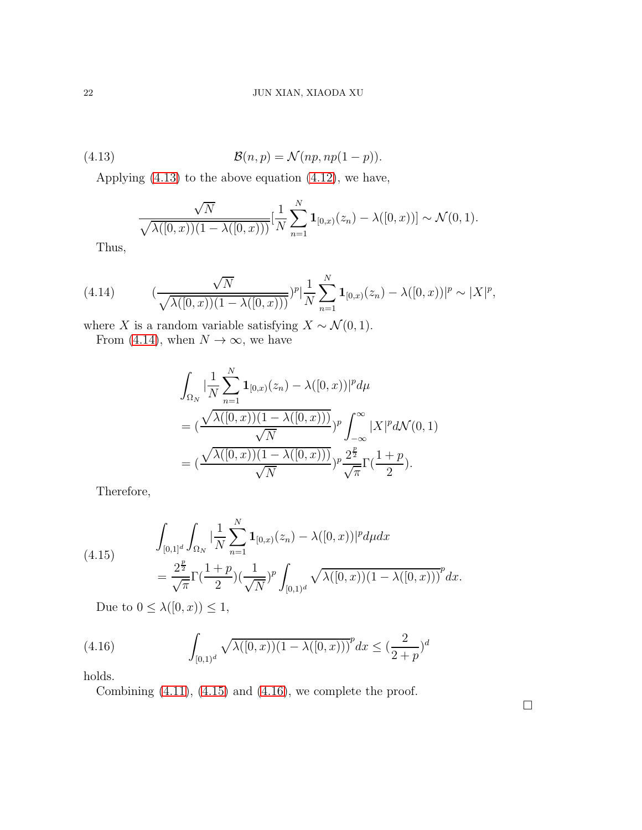(4.13) 
$$
\mathcal{B}(n,p) = \mathcal{N}(np, np(1-p)).
$$

Applying [\(4.13\)](#page-21-0) to the above equation [\(4.12\)](#page-20-0), we have,

<span id="page-21-0"></span>
$$
\frac{\sqrt{N}}{\sqrt{\lambda([0, x))(1 - \lambda([0, x)))}} \left[\frac{1}{N} \sum_{n=1}^{N} \mathbf{1}_{[0, x)}(z_n) - \lambda([0, x))\right] \sim \mathcal{N}(0, 1).
$$

Thus,

<span id="page-21-1"></span>(4.14) 
$$
(\frac{\sqrt{N}}{\sqrt{\lambda([0, x))(1 - \lambda([0, x)))}})^{p} |\frac{1}{N} \sum_{n=1}^{N} \mathbf{1}_{[0, x)}(z_{n}) - \lambda([0, x))|^{p} \sim |X|^{p},
$$

where X is a random variable satisfying  $X \sim \mathcal{N}(0, 1)$ .

From [\(4.14\)](#page-21-1), when  $N \to \infty$ , we have

$$
\int_{\Omega_N} \left| \frac{1}{N} \sum_{n=1}^N \mathbf{1}_{[0,x)}(z_n) - \lambda([0,x)) \right|^p d\mu
$$
\n
$$
= \left( \frac{\sqrt{\lambda([0,x))(1 - \lambda([0,x)))}}{\sqrt{N}} \right)^p \int_{-\infty}^{\infty} |X|^p d\mathcal{N}(0,1)
$$
\n
$$
= \left( \frac{\sqrt{\lambda([0,x))(1 - \lambda([0,x)))}}{\sqrt{N}} \right)^p \frac{2^{\frac{p}{2}}}{\sqrt{\pi}} \Gamma(\frac{1+p}{2}).
$$

Therefore,

<span id="page-21-2"></span>(4.15) 
$$
\int_{[0,1]^d} \int_{\Omega_N} \left| \frac{1}{N} \sum_{n=1}^N \mathbf{1}_{[0,x)}(z_n) - \lambda([0,x)) \right|^p d\mu dx
$$

$$
= \frac{2^{\frac{p}{2}}}{\sqrt{\pi}} \Gamma(\frac{1+p}{2}) (\frac{1}{\sqrt{N}})^p \int_{[0,1)^d} \sqrt{\lambda([0,x))(1-\lambda([0,x)))}^p dx.
$$

<span id="page-21-3"></span>Due to  $0 \leq \lambda([0, x)) \leq 1$ ,

(4.16) 
$$
\int_{[0,1)^d} \sqrt{\lambda([0,x))(1-\lambda([0,x)))}^p dx \leq (\frac{2}{2+p})^d
$$

holds.

Combining  $(4.11)$ ,  $(4.15)$  and  $(4.16)$ , we complete the proof.

 $\Box$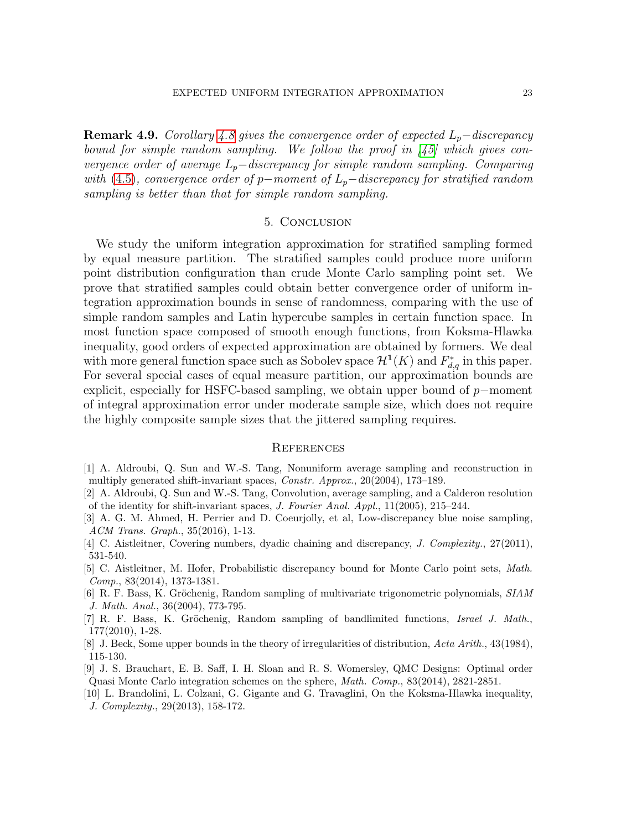**Remark 4.9.** *Corollary* [4.8](#page-20-2) gives the convergence order of expected  $L_p$ −discrepancy *bound for simple random sampling. We follow the proof in [\[45\]](#page-24-12) which gives convergence order of average*  $L_p$ −discrepancy for simple random sampling. Comparing *with* [\(4.5\)](#page-18-0)*, convergence order of* p−*moment of*  $L_p$ −*discrepancy for stratified random sampling is better than that for simple random sampling.*

### 5. Conclusion

<span id="page-22-9"></span>We study the uniform integration approximation for stratified sampling formed by equal measure partition. The stratified samples could produce more uniform point distribution configuration than crude Monte Carlo sampling point set. We prove that stratified samples could obtain better convergence order of uniform integration approximation bounds in sense of randomness, comparing with the use of simple random samples and Latin hypercube samples in certain function space. In most function space composed of smooth enough functions, from Koksma-Hlawka inequality, good orders of expected approximation are obtained by formers. We deal with more general function space such as Sobolev space  $\mathcal{H}^1(K)$  and  $F_{d,q}^*$  in this paper. For several special cases of equal measure partition, our approximation bounds are explicit, especially for HSFC-based sampling, we obtain upper bound of p−moment of integral approximation error under moderate sample size, which does not require the highly composite sample sizes that the jittered sampling requires.

#### **REFERENCES**

- <span id="page-22-4"></span>[1] A. Aldroubi, Q. Sun and W.-S. Tang, Nonuniform average sampling and reconstruction in multiply generated shift-invariant spaces, Constr. Approx., 20(2004), 173–189.
- <span id="page-22-5"></span>[2] A. Aldroubi, Q. Sun and W.-S. Tang, Convolution, average sampling, and a Calderon resolution of the identity for shift-invariant spaces, J. Fourier Anal. Appl., 11(2005), 215–244.
- <span id="page-22-3"></span>[3] A. G. M. Ahmed, H. Perrier and D. Coeurjolly, et al, Low-discrepancy blue noise sampling, ACM Trans. Graph., 35(2016), 1-13.
- <span id="page-22-1"></span><span id="page-22-0"></span>[4] C. Aistleitner, Covering numbers, dyadic chaining and discrepancy, *J. Complexity.*, 27(2011), 531-540.
- [5] C. Aistleitner, M. Hofer, Probabilistic discrepancy bound for Monte Carlo point sets, Math. Comp., 83(2014), 1373-1381.
- <span id="page-22-6"></span>[6] R. F. Bass, K. Gröchenig, Random sampling of multivariate trigonometric polynomials, SIAM J. Math. Anal., 36(2004), 773-795.
- <span id="page-22-7"></span>[7] R. F. Bass, K. Gröchenig, Random sampling of bandlimited functions, *Israel J. Math.*, 177(2010), 1-28.
- <span id="page-22-10"></span><span id="page-22-8"></span>[8] J. Beck, Some upper bounds in the theory of irregularities of distribution, Acta Arith., 43(1984), 115-130.
- [9] J. S. Brauchart, E. B. Saff, I. H. Sloan and R. S. Womersley, QMC Designs: Optimal order Quasi Monte Carlo integration schemes on the sphere, Math. Comp., 83(2014), 2821-2851.
- <span id="page-22-2"></span>[10] L. Brandolini, L. Colzani, G. Gigante and G. Travaglini, On the Koksma-Hlawka inequality, J. Complexity., 29(2013), 158-172.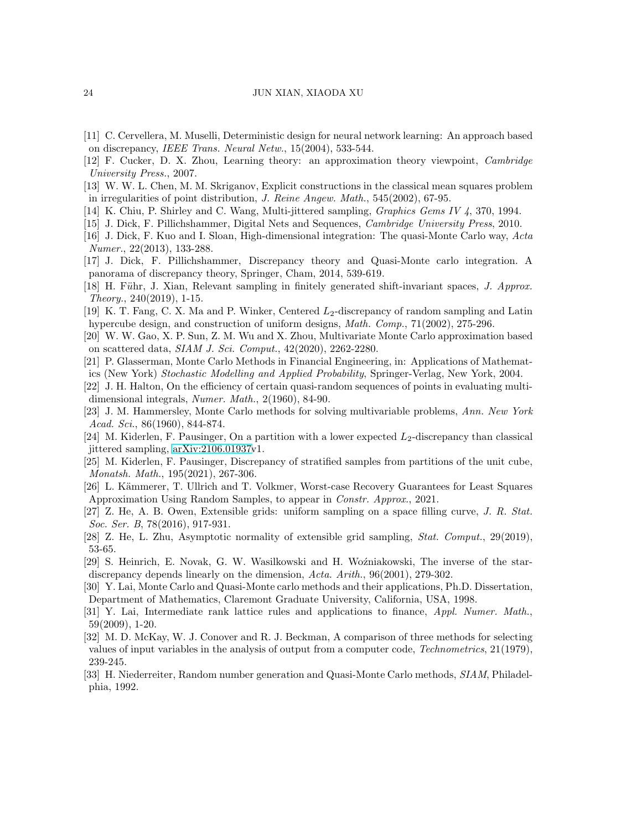- <span id="page-23-7"></span>[11] C. Cervellera, M. Muselli, Deterministic design for neural network learning: An approach based on discrepancy, IEEE Trans. Neural Netw., 15(2004), 533-544.
- <span id="page-23-19"></span><span id="page-23-13"></span>[12] F. Cucker, D. X. Zhou, Learning theory: an approximation theory viewpoint, Cambridge University Press., 2007.
- [13] W. W. L. Chen, M. M. Skriganov, Explicit constructions in the classical mean squares problem in irregularities of point distribution, J. Reine Angew. Math., 545(2002), 67-95.
- <span id="page-23-18"></span><span id="page-23-5"></span>[14] K. Chiu, P. Shirley and C. Wang, Multi-jittered sampling, *Graphics Gems IV 4*, 370, 1994.
- <span id="page-23-0"></span>[15] J. Dick, F. Pillichshammer, Digital Nets and Sequences, *Cambridge University Press*, 2010.
- [16] J. Dick, F. Kuo and I. Sloan, High-dimensional integration: The quasi-Monte Carlo way, Acta Numer., 22(2013), 133-288.
- <span id="page-23-22"></span>[17] J. Dick, F. Pillichshammer, Discrepancy theory and Quasi-Monte carlo integration. A panorama of discrepancy theory, Springer, Cham, 2014, 539-619.
- <span id="page-23-10"></span>[18] H. Führ, J. Xian, Relevant sampling in finitely generated shift-invariant spaces, J. Approx. Theory., 240(2019), 1-15.
- <span id="page-23-11"></span>[19] K. T. Fang, C. X. Ma and P. Winker, Centered  $L_2$ -discrepancy of random sampling and Latin hypercube design, and construction of uniform designs, Math. Comp., 71(2002), 275-296.
- <span id="page-23-1"></span>[20] W. W. Gao, X. P. Sun, Z. M. Wu and X. Zhou, Multivariate Monte Carlo approximation based on scattered data, SIAM J. Sci. Comput., 42(2020), 2262-2280.
- <span id="page-23-12"></span>[21] P. Glasserman, Monte Carlo Methods in Financial Engineering, in: Applications of Mathemat-
- <span id="page-23-3"></span>ics (New York) Stochastic Modelling and Applied Probability, Springer-Verlag, New York, 2004.
- [22] J. H. Halton, On the efficiency of certain quasi-random sequences of points in evaluating multidimensional integrals, Numer. Math., 2(1960), 84-90.
- <span id="page-23-4"></span>[23] J. M. Hammersley, Monte Carlo methods for solving multivariable problems, Ann. New York Acad. Sci., 86(1960), 844-874.
- <span id="page-23-15"></span>[24] M. Kiderlen, F. Pausinger, On a partition with a lower expected  $L_2$ -discrepancy than classical jittered sampling, [arXiv:2106.01937v](http://arxiv.org/abs/2106.01937)1.
- <span id="page-23-14"></span>[25] M. Kiderlen, F. Pausinger, Discrepancy of stratified samples from partitions of the unit cube, Monatsh. Math., 195(2021), 267-306.
- <span id="page-23-16"></span>[26] L. Kämmerer, T. Ullrich and T. Volkmer, Worst-case Recovery Guarantees for Least Squares Approximation Using Random Samples, to appear in Constr. Approx., 2021.
- <span id="page-23-20"></span>[27] Z. He, A. B. Owen, Extensible grids: uniform sampling on a space filling curve, J. R. Stat. Soc. Ser. B, 78(2016), 917-931.
- <span id="page-23-21"></span><span id="page-23-2"></span>[28] Z. He, L. Zhu, Asymptotic normality of extensible grid sampling, *Stat. Comput.*, 29(2019), 53-65.
- [29] S. Heinrich, E. Novak, G. W. Wasilkowski and H. Woźniakowski, The inverse of the stardiscrepancy depends linearly on the dimension, Acta. Arith., 96(2001), 279-302.
- <span id="page-23-8"></span>[30] Y. Lai, Monte Carlo and Quasi-Monte carlo methods and their applications, Ph.D. Dissertation, Department of Mathematics, Claremont Graduate University, California, USA, 1998.
- <span id="page-23-9"></span>[31] Y. Lai, Intermediate rank lattice rules and applications to finance, Appl. Numer. Math., 59(2009), 1-20.
- <span id="page-23-17"></span>[32] M. D. McKay, W. J. Conover and R. J. Beckman, A comparison of three methods for selecting values of input variables in the analysis of output from a computer code, Technometrics, 21(1979), 239-245.
- <span id="page-23-6"></span>[33] H. Niederreiter, Random number generation and Quasi-Monte Carlo methods, SIAM, Philadelphia, 1992.